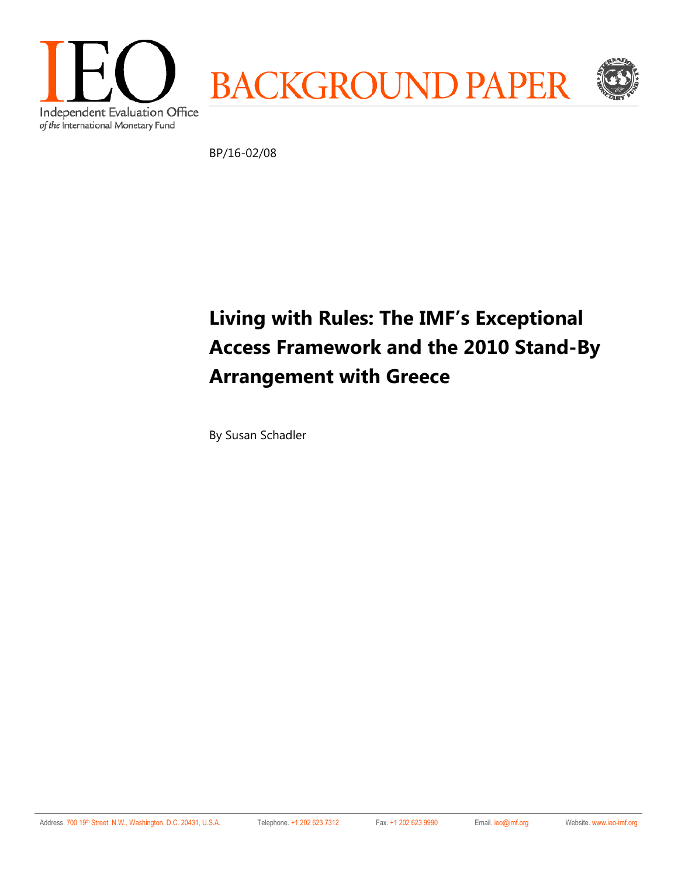

BP/16-02/08

# **Living with Rules: The IMF's Exceptional Access Framework and the 2010 Stand-By Arrangement with Greece**

By Susan Schadler

Address. 700 19th Street, N.W., Washington, D.C. 20431, U.S.A. Telephone. +1 202 623 7312 Fax. +1 202 623 9990 Email. ieo@imf.org Website. www.ieo-imf.org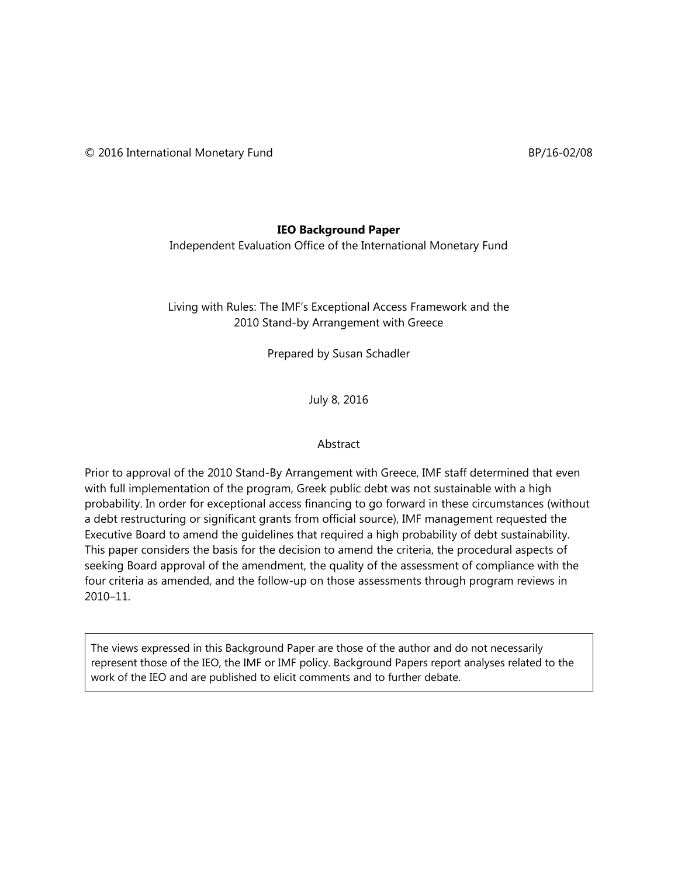#### **IEO Background Paper**

Independent Evaluation Office of the International Monetary Fund

Living with Rules: The IMF's Exceptional Access Framework and the 2010 Stand-by Arrangement with Greece

Prepared by Susan Schadler

July 8, 2016

#### Abstract

Prior to approval of the 2010 Stand-By Arrangement with Greece, IMF staff determined that even with full implementation of the program, Greek public debt was not sustainable with a high probability. In order for exceptional access financing to go forward in these circumstances (without a debt restructuring or significant grants from official source), IMF management requested the Executive Board to amend the guidelines that required a high probability of debt sustainability. This paper considers the basis for the decision to amend the criteria, the procedural aspects of seeking Board approval of the amendment, the quality of the assessment of compliance with the four criteria as amended, and the follow-up on those assessments through program reviews in 2010–11.

The views expressed in this Background Paper are those of the author and do not necessarily represent those of the IEO, the IMF or IMF policy. Background Papers report analyses related to the work of the IEO and are published to elicit comments and to further debate.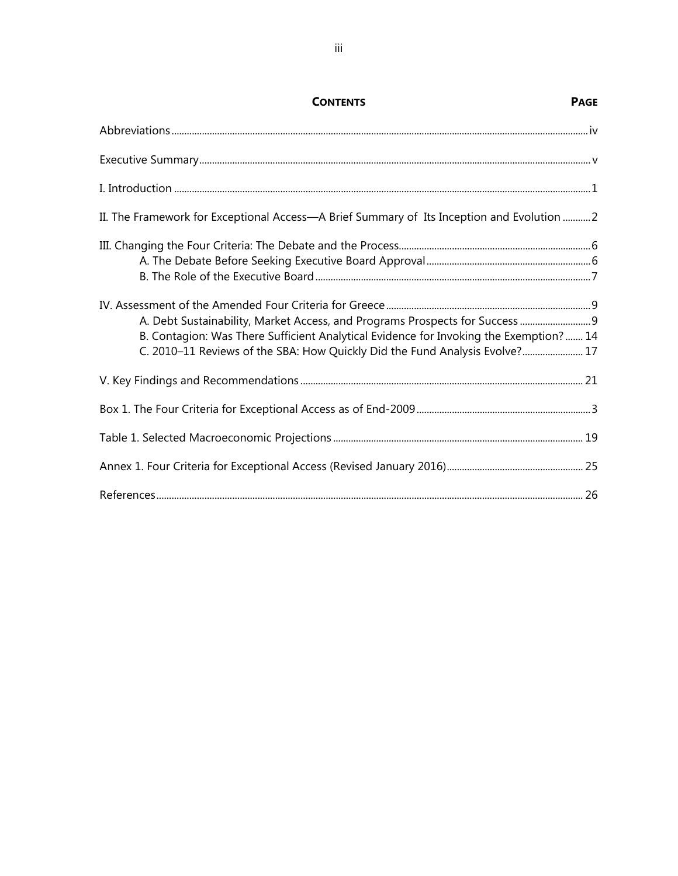| II. The Framework for Exceptional Access—A Brief Summary of Its Inception and Evolution  2                                                                           |  |
|----------------------------------------------------------------------------------------------------------------------------------------------------------------------|--|
|                                                                                                                                                                      |  |
| B. Contagion: Was There Sufficient Analytical Evidence for Invoking the Exemption? 14<br>C. 2010-11 Reviews of the SBA: How Quickly Did the Fund Analysis Evolve? 17 |  |
|                                                                                                                                                                      |  |
|                                                                                                                                                                      |  |
|                                                                                                                                                                      |  |
|                                                                                                                                                                      |  |
|                                                                                                                                                                      |  |

## **CONTENTS PAGE**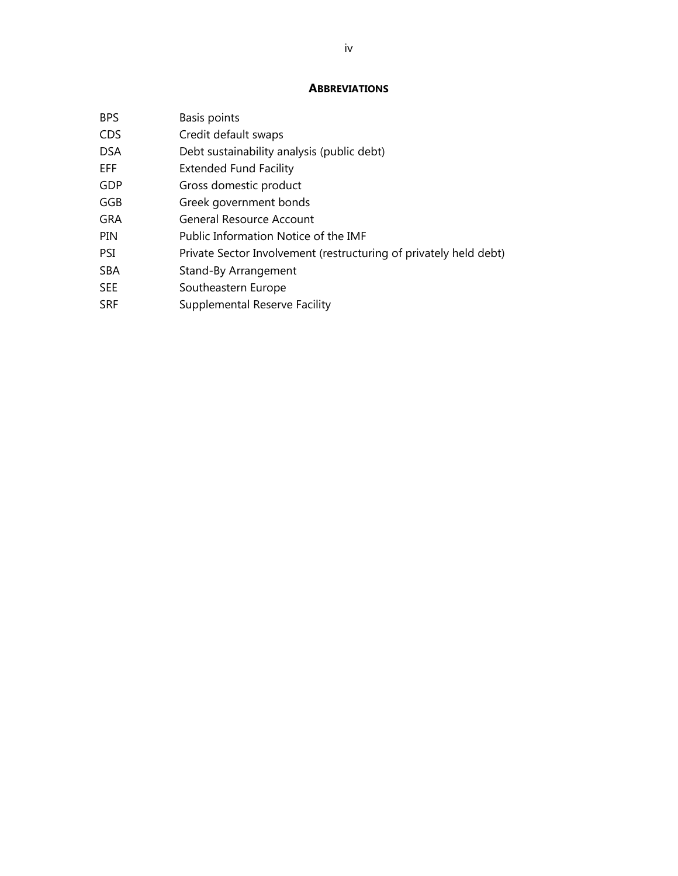#### **ABBREVIATIONS**

| <b>BPS</b> | Basis points                                                      |
|------------|-------------------------------------------------------------------|
| CDS        | Credit default swaps                                              |
| DSA        | Debt sustainability analysis (public debt)                        |
| EFF.       | <b>Extended Fund Facility</b>                                     |
| GDP        | Gross domestic product                                            |
| GGB        | Greek government bonds                                            |
| GRA        | <b>General Resource Account</b>                                   |
| PIN        | Public Information Notice of the IMF                              |
| PSI        | Private Sector Involvement (restructuring of privately held debt) |
| SBA        | Stand-By Arrangement                                              |
| SEE        | Southeastern Europe                                               |
| SRF        | <b>Supplemental Reserve Facility</b>                              |
|            |                                                                   |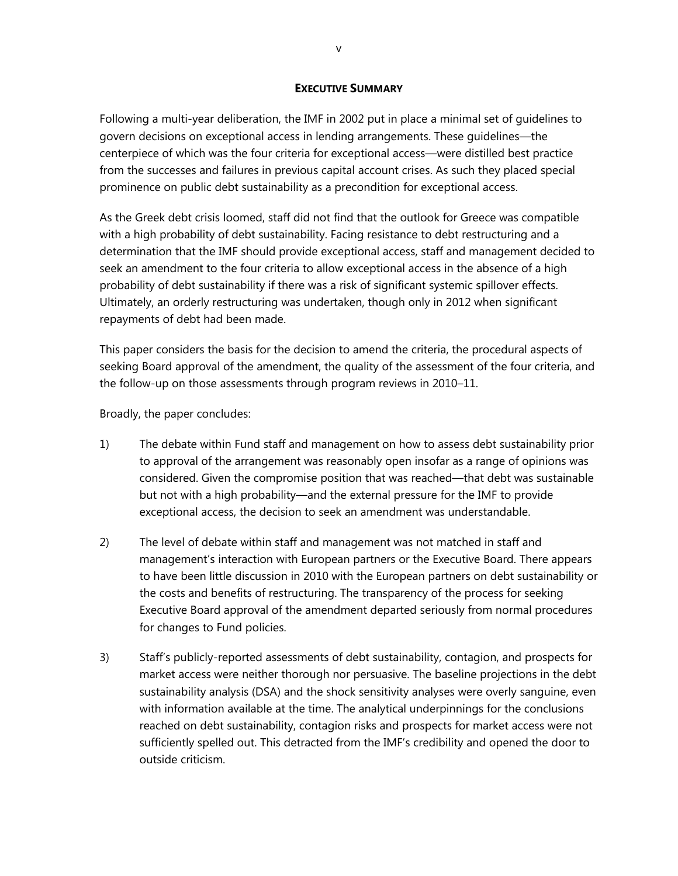#### **EXECUTIVE SUMMARY**

Following a multi-year deliberation, the IMF in 2002 put in place a minimal set of guidelines to govern decisions on exceptional access in lending arrangements. These guidelines—the centerpiece of which was the four criteria for exceptional access—were distilled best practice from the successes and failures in previous capital account crises. As such they placed special prominence on public debt sustainability as a precondition for exceptional access.

As the Greek debt crisis loomed, staff did not find that the outlook for Greece was compatible with a high probability of debt sustainability. Facing resistance to debt restructuring and a determination that the IMF should provide exceptional access, staff and management decided to seek an amendment to the four criteria to allow exceptional access in the absence of a high probability of debt sustainability if there was a risk of significant systemic spillover effects. Ultimately, an orderly restructuring was undertaken, though only in 2012 when significant repayments of debt had been made.

This paper considers the basis for the decision to amend the criteria, the procedural aspects of seeking Board approval of the amendment, the quality of the assessment of the four criteria, and the follow-up on those assessments through program reviews in 2010–11.

Broadly, the paper concludes:

- 1) The debate within Fund staff and management on how to assess debt sustainability prior to approval of the arrangement was reasonably open insofar as a range of opinions was considered. Given the compromise position that was reached—that debt was sustainable but not with a high probability—and the external pressure for the IMF to provide exceptional access, the decision to seek an amendment was understandable.
- 2) The level of debate within staff and management was not matched in staff and management's interaction with European partners or the Executive Board. There appears to have been little discussion in 2010 with the European partners on debt sustainability or the costs and benefits of restructuring. The transparency of the process for seeking Executive Board approval of the amendment departed seriously from normal procedures for changes to Fund policies.
- 3) Staff's publicly-reported assessments of debt sustainability, contagion, and prospects for market access were neither thorough nor persuasive. The baseline projections in the debt sustainability analysis (DSA) and the shock sensitivity analyses were overly sanguine, even with information available at the time. The analytical underpinnings for the conclusions reached on debt sustainability, contagion risks and prospects for market access were not sufficiently spelled out. This detracted from the IMF's credibility and opened the door to outside criticism.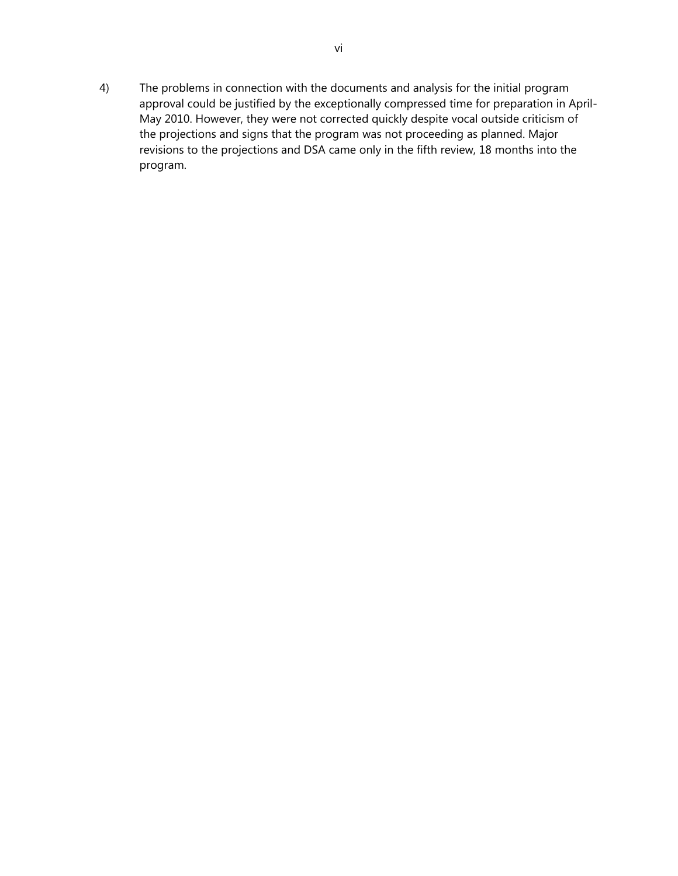4) The problems in connection with the documents and analysis for the initial program approval could be justified by the exceptionally compressed time for preparation in April-May 2010. However, they were not corrected quickly despite vocal outside criticism of the projections and signs that the program was not proceeding as planned. Major revisions to the projections and DSA came only in the fifth review, 18 months into the program.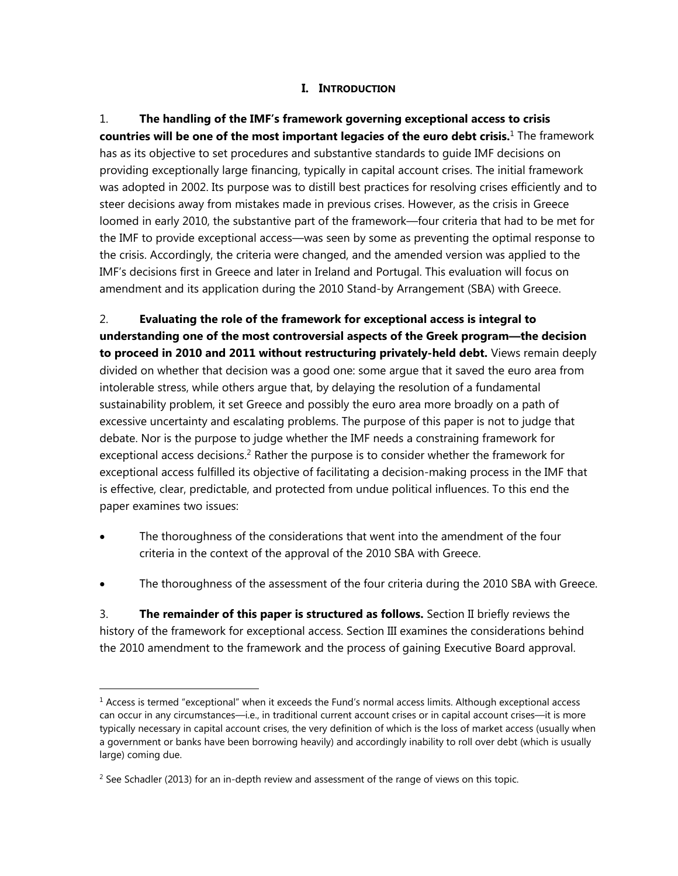### **I. INTRODUCTION**

1. **The handling of the IMF's framework governing exceptional access to crisis countries will be one of the most important legacies of the euro debt crisis.**1 The framework has as its objective to set procedures and substantive standards to guide IMF decisions on providing exceptionally large financing, typically in capital account crises. The initial framework was adopted in 2002. Its purpose was to distill best practices for resolving crises efficiently and to steer decisions away from mistakes made in previous crises. However, as the crisis in Greece loomed in early 2010, the substantive part of the framework—four criteria that had to be met for the IMF to provide exceptional access—was seen by some as preventing the optimal response to the crisis. Accordingly, the criteria were changed, and the amended version was applied to the IMF's decisions first in Greece and later in Ireland and Portugal. This evaluation will focus on amendment and its application during the 2010 Stand-by Arrangement (SBA) with Greece.

2. **Evaluating the role of the framework for exceptional access is integral to understanding one of the most controversial aspects of the Greek program—the decision to proceed in 2010 and 2011 without restructuring privately-held debt.** Views remain deeply divided on whether that decision was a good one: some argue that it saved the euro area from intolerable stress, while others argue that, by delaying the resolution of a fundamental sustainability problem, it set Greece and possibly the euro area more broadly on a path of excessive uncertainty and escalating problems. The purpose of this paper is not to judge that debate. Nor is the purpose to judge whether the IMF needs a constraining framework for exceptional access decisions.<sup>2</sup> Rather the purpose is to consider whether the framework for exceptional access fulfilled its objective of facilitating a decision-making process in the IMF that is effective, clear, predictable, and protected from undue political influences. To this end the paper examines two issues:

- The thoroughness of the considerations that went into the amendment of the four criteria in the context of the approval of the 2010 SBA with Greece.
- The thoroughness of the assessment of the four criteria during the 2010 SBA with Greece.

3. **The remainder of this paper is structured as follows.** Section II briefly reviews the history of the framework for exceptional access. Section III examines the considerations behind the 2010 amendment to the framework and the process of gaining Executive Board approval.

 $<sup>1</sup>$  Access is termed "exceptional" when it exceeds the Fund's normal access limits. Although exceptional access</sup> can occur in any circumstances—i.e., in traditional current account crises or in capital account crises—it is more typically necessary in capital account crises, the very definition of which is the loss of market access (usually when a government or banks have been borrowing heavily) and accordingly inability to roll over debt (which is usually large) coming due.

 $2$  See Schadler (2013) for an in-depth review and assessment of the range of views on this topic.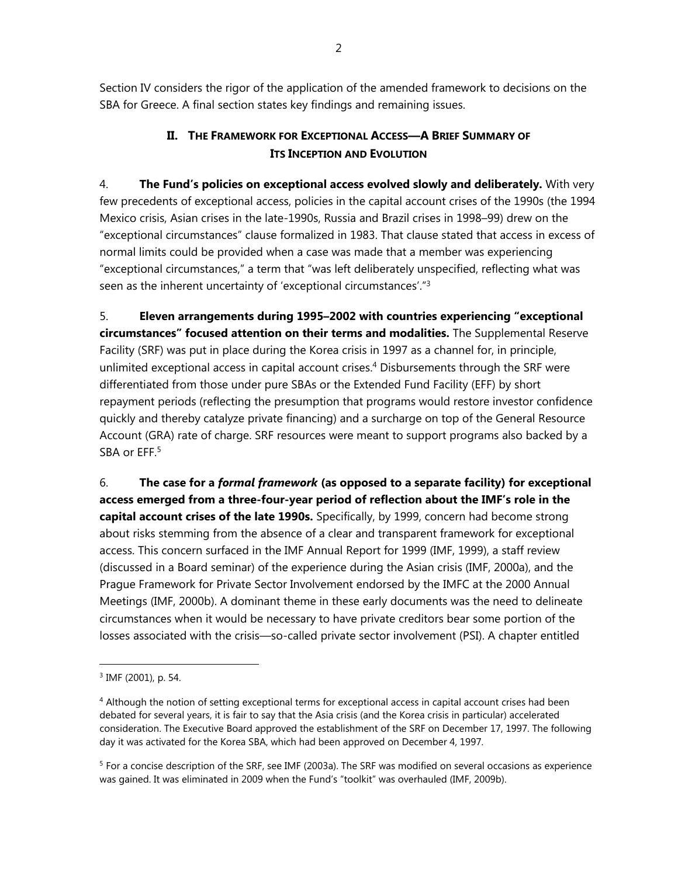Section IV considers the rigor of the application of the amended framework to decisions on the SBA for Greece. A final section states key findings and remaining issues.

## **II. THE FRAMEWORK FOR EXCEPTIONAL ACCESS—A BRIEF SUMMARY OF ITS INCEPTION AND EVOLUTION**

4. **The Fund's policies on exceptional access evolved slowly and deliberately.** With very few precedents of exceptional access, policies in the capital account crises of the 1990s (the 1994 Mexico crisis, Asian crises in the late-1990s, Russia and Brazil crises in 1998–99) drew on the "exceptional circumstances" clause formalized in 1983. That clause stated that access in excess of normal limits could be provided when a case was made that a member was experiencing "exceptional circumstances," a term that "was left deliberately unspecified, reflecting what was seen as the inherent uncertainty of 'exceptional circumstances'."<sup>3</sup>

5. **Eleven arrangements during 1995–2002 with countries experiencing "exceptional circumstances" focused attention on their terms and modalities.** The Supplemental Reserve Facility (SRF) was put in place during the Korea crisis in 1997 as a channel for, in principle, unlimited exceptional access in capital account crises.<sup>4</sup> Disbursements through the SRF were differentiated from those under pure SBAs or the Extended Fund Facility (EFF) by short repayment periods (reflecting the presumption that programs would restore investor confidence quickly and thereby catalyze private financing) and a surcharge on top of the General Resource Account (GRA) rate of charge. SRF resources were meant to support programs also backed by a SBA or EFF.<sup>5</sup>

6. **The case for a** *formal framework* **(as opposed to a separate facility) for exceptional access emerged from a three-four-year period of reflection about the IMF's role in the capital account crises of the late 1990s.** Specifically, by 1999, concern had become strong about risks stemming from the absence of a clear and transparent framework for exceptional access. This concern surfaced in the IMF Annual Report for 1999 (IMF, 1999), a staff review (discussed in a Board seminar) of the experience during the Asian crisis (IMF, 2000a), and the Prague Framework for Private Sector Involvement endorsed by the IMFC at the 2000 Annual Meetings (IMF, 2000b). A dominant theme in these early documents was the need to delineate circumstances when it would be necessary to have private creditors bear some portion of the losses associated with the crisis—so-called private sector involvement (PSI). A chapter entitled

<sup>3</sup> IMF (2001), p. 54.

<sup>&</sup>lt;sup>4</sup> Although the notion of setting exceptional terms for exceptional access in capital account crises had been debated for several years, it is fair to say that the Asia crisis (and the Korea crisis in particular) accelerated consideration. The Executive Board approved the establishment of the SRF on December 17, 1997. The following day it was activated for the Korea SBA, which had been approved on December 4, 1997.

<sup>&</sup>lt;sup>5</sup> For a concise description of the SRF, see IMF (2003a). The SRF was modified on several occasions as experience was gained. It was eliminated in 2009 when the Fund's "toolkit" was overhauled (IMF, 2009b).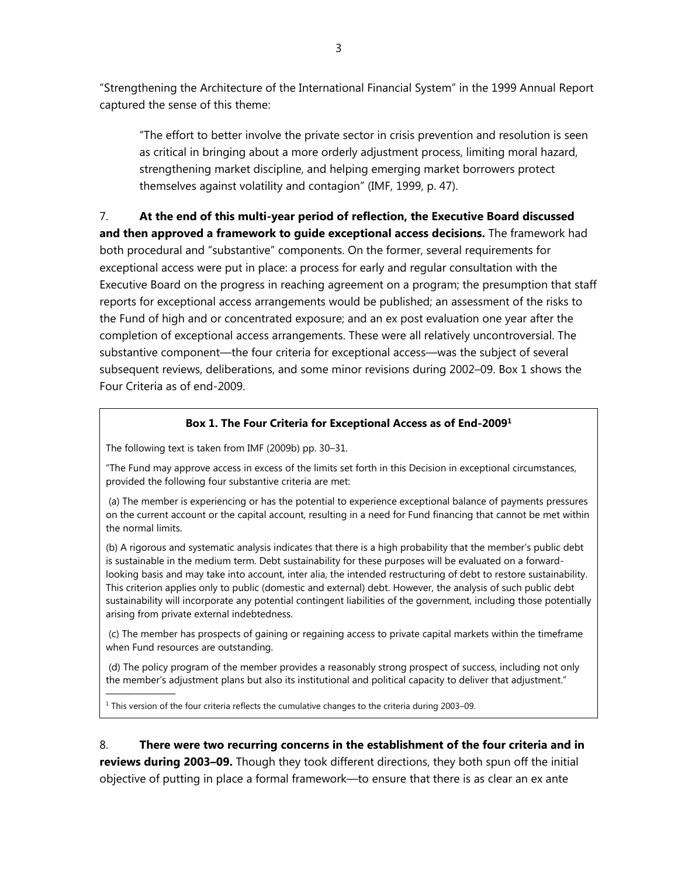"Strengthening the Architecture of the International Financial System" in the 1999 Annual Report captured the sense of this theme:

"The effort to better involve the private sector in crisis prevention and resolution is seen as critical in bringing about a more orderly adjustment process, limiting moral hazard, strengthening market discipline, and helping emerging market borrowers protect themselves against volatility and contagion" (IMF, 1999, p. 47).

7. **At the end of this multi-year period of reflection, the Executive Board discussed and then approved a framework to guide exceptional access decisions.** The framework had both procedural and "substantive" components. On the former, several requirements for exceptional access were put in place: a process for early and regular consultation with the Executive Board on the progress in reaching agreement on a program; the presumption that staff reports for exceptional access arrangements would be published; an assessment of the risks to the Fund of high and or concentrated exposure; and an ex post evaluation one year after the completion of exceptional access arrangements. These were all relatively uncontroversial. The substantive component—the four criteria for exceptional access—was the subject of several subsequent reviews, deliberations, and some minor revisions during 2002–09. Box 1 shows the Four Criteria as of end-2009.

### **Box 1. The Four Criteria for Exceptional Access as of End-20091**

The following text is taken from IMF (2009b) pp. 30–31.

———————

"The Fund may approve access in excess of the limits set forth in this Decision in exceptional circumstances, provided the following four substantive criteria are met:

 (a) The member is experiencing or has the potential to experience exceptional balance of payments pressures on the current account or the capital account, resulting in a need for Fund financing that cannot be met within the normal limits.

(b) A rigorous and systematic analysis indicates that there is a high probability that the member's public debt is sustainable in the medium term. Debt sustainability for these purposes will be evaluated on a forwardlooking basis and may take into account, inter alia, the intended restructuring of debt to restore sustainability. This criterion applies only to public (domestic and external) debt. However, the analysis of such public debt sustainability will incorporate any potential contingent liabilities of the government, including those potentially arising from private external indebtedness.

 (c) The member has prospects of gaining or regaining access to private capital markets within the timeframe when Fund resources are outstanding.

 (d) The policy program of the member provides a reasonably strong prospect of success, including not only the member's adjustment plans but also its institutional and political capacity to deliver that adjustment."

<sup>1</sup> This version of the four criteria reflects the cumulative changes to the criteria during 2003–09.

8. **There were two recurring concerns in the establishment of the four criteria and in reviews during 2003–09.** Though they took different directions, they both spun off the initial objective of putting in place a formal framework—to ensure that there is as clear an ex ante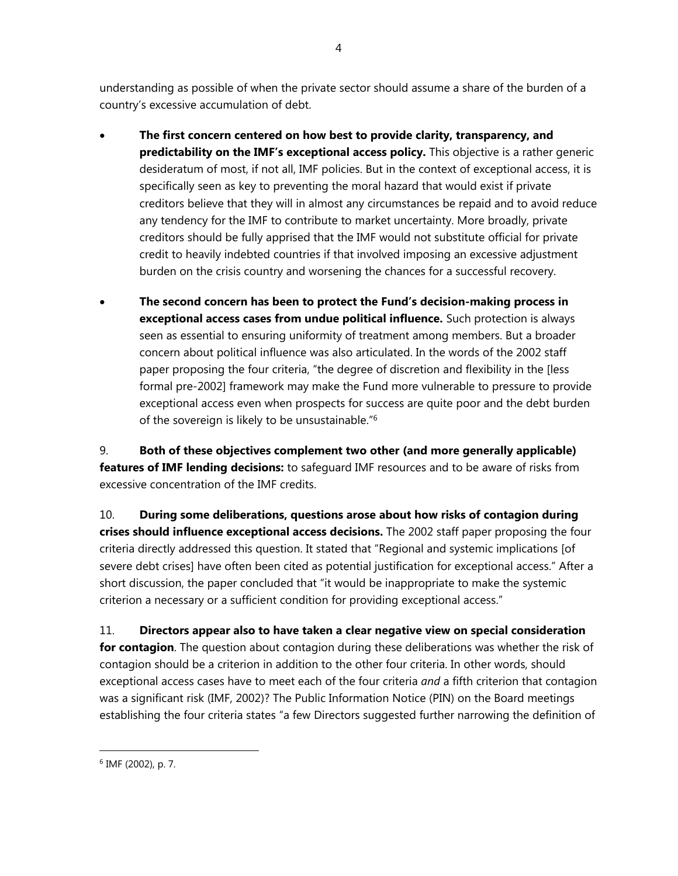understanding as possible of when the private sector should assume a share of the burden of a country's excessive accumulation of debt.

- **The first concern centered on how best to provide clarity, transparency, and predictability on the IMF's exceptional access policy.** This objective is a rather generic desideratum of most, if not all, IMF policies. But in the context of exceptional access, it is specifically seen as key to preventing the moral hazard that would exist if private creditors believe that they will in almost any circumstances be repaid and to avoid reduce any tendency for the IMF to contribute to market uncertainty. More broadly, private creditors should be fully apprised that the IMF would not substitute official for private credit to heavily indebted countries if that involved imposing an excessive adjustment burden on the crisis country and worsening the chances for a successful recovery.
- **The second concern has been to protect the Fund's decision-making process in exceptional access cases from undue political influence.** Such protection is always seen as essential to ensuring uniformity of treatment among members. But a broader concern about political influence was also articulated. In the words of the 2002 staff paper proposing the four criteria, "the degree of discretion and flexibility in the [less formal pre-2002] framework may make the Fund more vulnerable to pressure to provide exceptional access even when prospects for success are quite poor and the debt burden of the sovereign is likely to be unsustainable."6

9. **Both of these objectives complement two other (and more generally applicable) features of IMF lending decisions:** to safeguard IMF resources and to be aware of risks from excessive concentration of the IMF credits.

10. **During some deliberations, questions arose about how risks of contagion during crises should influence exceptional access decisions.** The 2002 staff paper proposing the four criteria directly addressed this question. It stated that "Regional and systemic implications [of severe debt crises] have often been cited as potential justification for exceptional access." After a short discussion, the paper concluded that "it would be inappropriate to make the systemic criterion a necessary or a sufficient condition for providing exceptional access."

11. **Directors appear also to have taken a clear negative view on special consideration for contagion**. The question about contagion during these deliberations was whether the risk of contagion should be a criterion in addition to the other four criteria. In other words, should exceptional access cases have to meet each of the four criteria *and* a fifth criterion that contagion was a significant risk (IMF, 2002)? The Public Information Notice (PIN) on the Board meetings establishing the four criteria states "a few Directors suggested further narrowing the definition of

<sup>6</sup> IMF (2002), p. 7.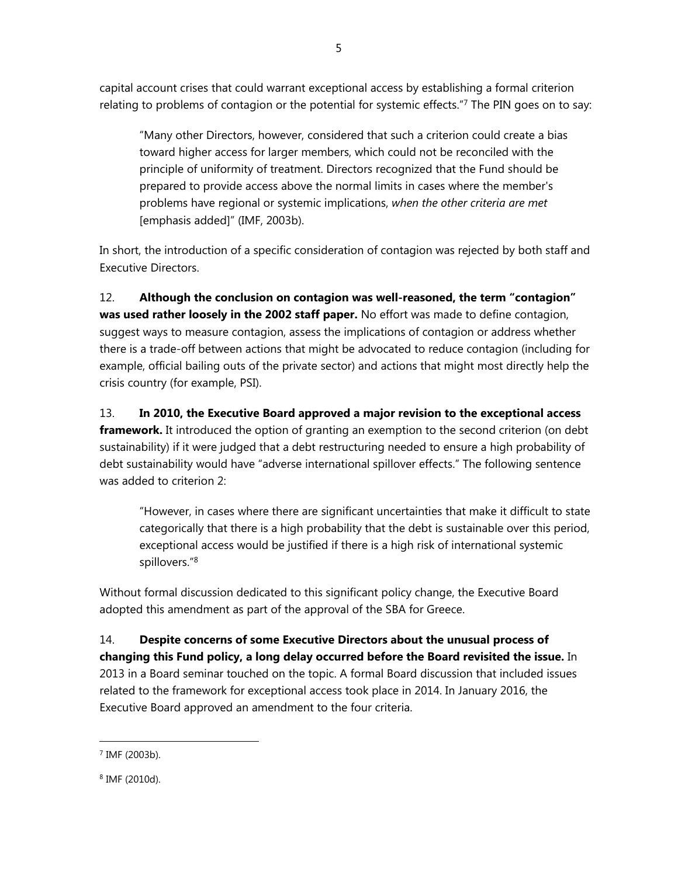capital account crises that could warrant exceptional access by establishing a formal criterion relating to problems of contagion or the potential for systemic effects."7 The PIN goes on to say:

"Many other Directors, however, considered that such a criterion could create a bias toward higher access for larger members, which could not be reconciled with the principle of uniformity of treatment. Directors recognized that the Fund should be prepared to provide access above the normal limits in cases where the member's problems have regional or systemic implications, *when the other criteria are met*  [emphasis added]" (IMF, 2003b).

In short, the introduction of a specific consideration of contagion was rejected by both staff and Executive Directors.

12. **Although the conclusion on contagion was well-reasoned, the term "contagion" was used rather loosely in the 2002 staff paper.** No effort was made to define contagion, suggest ways to measure contagion, assess the implications of contagion or address whether there is a trade-off between actions that might be advocated to reduce contagion (including for example, official bailing outs of the private sector) and actions that might most directly help the crisis country (for example, PSI).

13. **In 2010, the Executive Board approved a major revision to the exceptional access framework.** It introduced the option of granting an exemption to the second criterion (on debt sustainability) if it were judged that a debt restructuring needed to ensure a high probability of debt sustainability would have "adverse international spillover effects." The following sentence

was added to criterion 2:

"However, in cases where there are significant uncertainties that make it difficult to state categorically that there is a high probability that the debt is sustainable over this period, exceptional access would be justified if there is a high risk of international systemic spillovers."8

Without formal discussion dedicated to this significant policy change, the Executive Board adopted this amendment as part of the approval of the SBA for Greece.

14. **Despite concerns of some Executive Directors about the unusual process of changing this Fund policy, a long delay occurred before the Board revisited the issue.** In 2013 in a Board seminar touched on the topic. A formal Board discussion that included issues related to the framework for exceptional access took place in 2014. In January 2016, the Executive Board approved an amendment to the four criteria.

<sup>7</sup> IMF (2003b).

<sup>8</sup> IMF (2010d).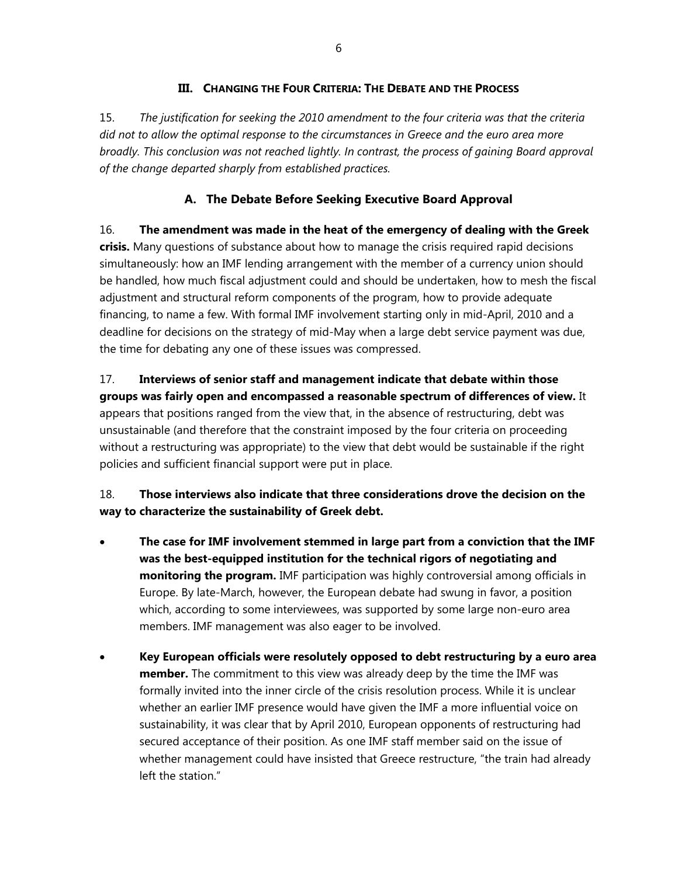## **III. CHANGING THE FOUR CRITERIA: THE DEBATE AND THE PROCESS**

15. *The justification for seeking the 2010 amendment to the four criteria was that the criteria did not to allow the optimal response to the circumstances in Greece and the euro area more broadly. This conclusion was not reached lightly. In contrast, the process of gaining Board approval of the change departed sharply from established practices.* 

## **A. The Debate Before Seeking Executive Board Approval**

16. **The amendment was made in the heat of the emergency of dealing with the Greek crisis.** Many questions of substance about how to manage the crisis required rapid decisions simultaneously: how an IMF lending arrangement with the member of a currency union should be handled, how much fiscal adjustment could and should be undertaken, how to mesh the fiscal adjustment and structural reform components of the program, how to provide adequate financing, to name a few. With formal IMF involvement starting only in mid-April, 2010 and a deadline for decisions on the strategy of mid-May when a large debt service payment was due, the time for debating any one of these issues was compressed.

17. **Interviews of senior staff and management indicate that debate within those groups was fairly open and encompassed a reasonable spectrum of differences of view.** It appears that positions ranged from the view that, in the absence of restructuring, debt was unsustainable (and therefore that the constraint imposed by the four criteria on proceeding without a restructuring was appropriate) to the view that debt would be sustainable if the right policies and sufficient financial support were put in place.

18. **Those interviews also indicate that three considerations drove the decision on the way to characterize the sustainability of Greek debt.** 

- **The case for IMF involvement stemmed in large part from a conviction that the IMF was the best-equipped institution for the technical rigors of negotiating and monitoring the program.** IMF participation was highly controversial among officials in Europe. By late-March, however, the European debate had swung in favor, a position which, according to some interviewees, was supported by some large non-euro area members. IMF management was also eager to be involved.
- **Key European officials were resolutely opposed to debt restructuring by a euro area member.** The commitment to this view was already deep by the time the IMF was formally invited into the inner circle of the crisis resolution process. While it is unclear whether an earlier IMF presence would have given the IMF a more influential voice on sustainability, it was clear that by April 2010, European opponents of restructuring had secured acceptance of their position. As one IMF staff member said on the issue of whether management could have insisted that Greece restructure, "the train had already left the station."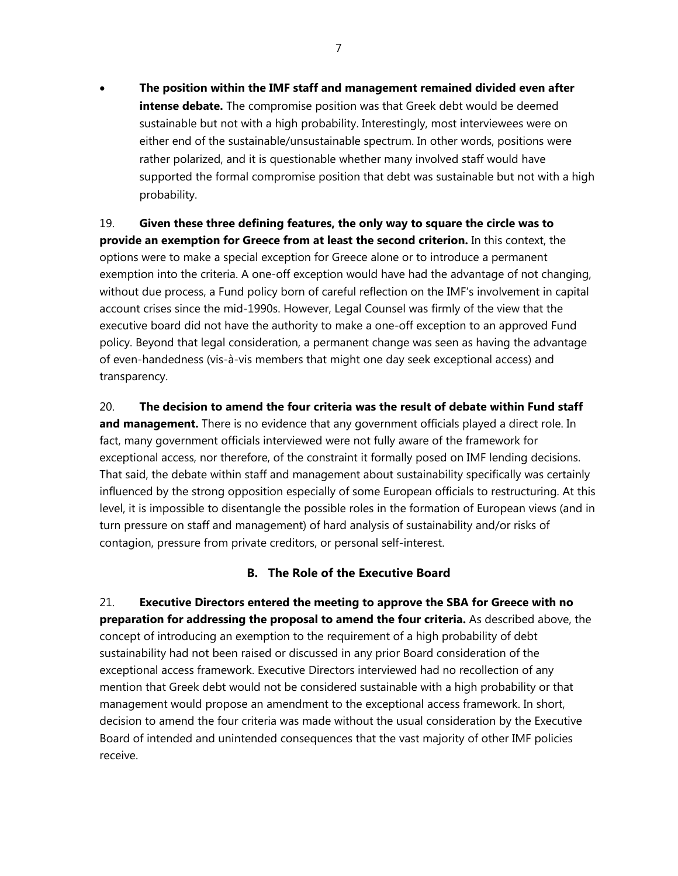**The position within the IMF staff and management remained divided even after intense debate.** The compromise position was that Greek debt would be deemed sustainable but not with a high probability. Interestingly, most interviewees were on either end of the sustainable/unsustainable spectrum. In other words, positions were rather polarized, and it is questionable whether many involved staff would have supported the formal compromise position that debt was sustainable but not with a high probability.

19. **Given these three defining features, the only way to square the circle was to provide an exemption for Greece from at least the second criterion.** In this context, the options were to make a special exception for Greece alone or to introduce a permanent exemption into the criteria. A one-off exception would have had the advantage of not changing, without due process, a Fund policy born of careful reflection on the IMF's involvement in capital account crises since the mid-1990s. However, Legal Counsel was firmly of the view that the executive board did not have the authority to make a one-off exception to an approved Fund policy. Beyond that legal consideration, a permanent change was seen as having the advantage of even-handedness (vis-à-vis members that might one day seek exceptional access) and transparency.

20. **The decision to amend the four criteria was the result of debate within Fund staff and management.** There is no evidence that any government officials played a direct role. In fact, many government officials interviewed were not fully aware of the framework for exceptional access, nor therefore, of the constraint it formally posed on IMF lending decisions. That said, the debate within staff and management about sustainability specifically was certainly influenced by the strong opposition especially of some European officials to restructuring. At this level, it is impossible to disentangle the possible roles in the formation of European views (and in turn pressure on staff and management) of hard analysis of sustainability and/or risks of contagion, pressure from private creditors, or personal self-interest.

### **B. The Role of the Executive Board**

21. **Executive Directors entered the meeting to approve the SBA for Greece with no preparation for addressing the proposal to amend the four criteria.** As described above, the concept of introducing an exemption to the requirement of a high probability of debt sustainability had not been raised or discussed in any prior Board consideration of the exceptional access framework. Executive Directors interviewed had no recollection of any mention that Greek debt would not be considered sustainable with a high probability or that management would propose an amendment to the exceptional access framework. In short, decision to amend the four criteria was made without the usual consideration by the Executive Board of intended and unintended consequences that the vast majority of other IMF policies receive.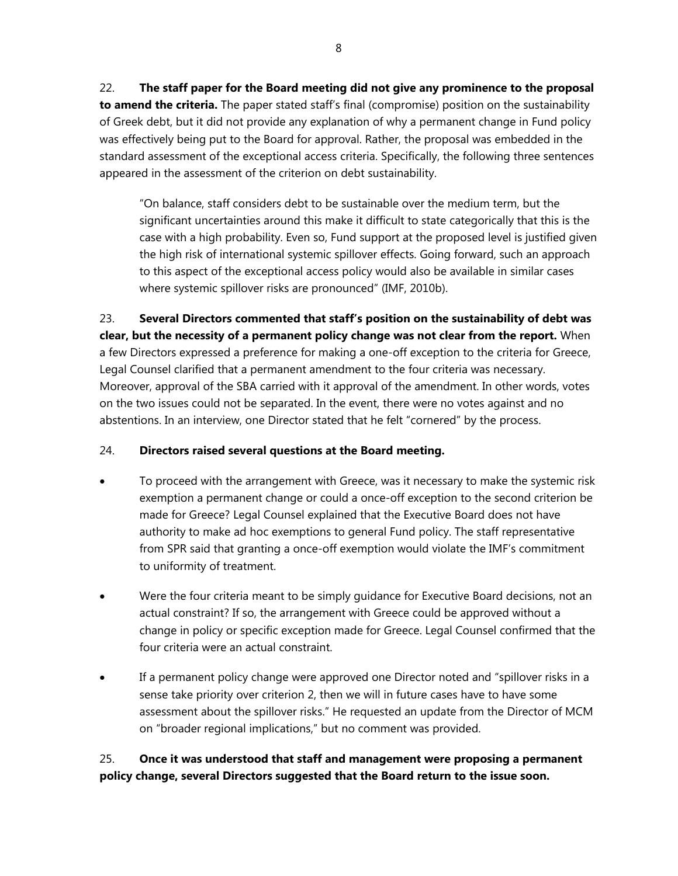22. **The staff paper for the Board meeting did not give any prominence to the proposal to amend the criteria.** The paper stated staff's final (compromise) position on the sustainability of Greek debt, but it did not provide any explanation of why a permanent change in Fund policy was effectively being put to the Board for approval. Rather, the proposal was embedded in the standard assessment of the exceptional access criteria. Specifically, the following three sentences appeared in the assessment of the criterion on debt sustainability.

"On balance, staff considers debt to be sustainable over the medium term, but the significant uncertainties around this make it difficult to state categorically that this is the case with a high probability. Even so, Fund support at the proposed level is justified given the high risk of international systemic spillover effects. Going forward, such an approach to this aspect of the exceptional access policy would also be available in similar cases where systemic spillover risks are pronounced" (IMF, 2010b).

## 23. **Several Directors commented that staff's position on the sustainability of debt was clear, but the necessity of a permanent policy change was not clear from the report.** When

a few Directors expressed a preference for making a one-off exception to the criteria for Greece, Legal Counsel clarified that a permanent amendment to the four criteria was necessary. Moreover, approval of the SBA carried with it approval of the amendment. In other words, votes on the two issues could not be separated. In the event, there were no votes against and no abstentions. In an interview, one Director stated that he felt "cornered" by the process.

## 24. **Directors raised several questions at the Board meeting.**

- To proceed with the arrangement with Greece, was it necessary to make the systemic risk exemption a permanent change or could a once-off exception to the second criterion be made for Greece? Legal Counsel explained that the Executive Board does not have authority to make ad hoc exemptions to general Fund policy. The staff representative from SPR said that granting a once-off exemption would violate the IMF's commitment to uniformity of treatment.
- Were the four criteria meant to be simply guidance for Executive Board decisions, not an actual constraint? If so, the arrangement with Greece could be approved without a change in policy or specific exception made for Greece. Legal Counsel confirmed that the four criteria were an actual constraint.
- If a permanent policy change were approved one Director noted and "spillover risks in a sense take priority over criterion 2, then we will in future cases have to have some assessment about the spillover risks." He requested an update from the Director of MCM on "broader regional implications," but no comment was provided.

## 25. **Once it was understood that staff and management were proposing a permanent policy change, several Directors suggested that the Board return to the issue soon.**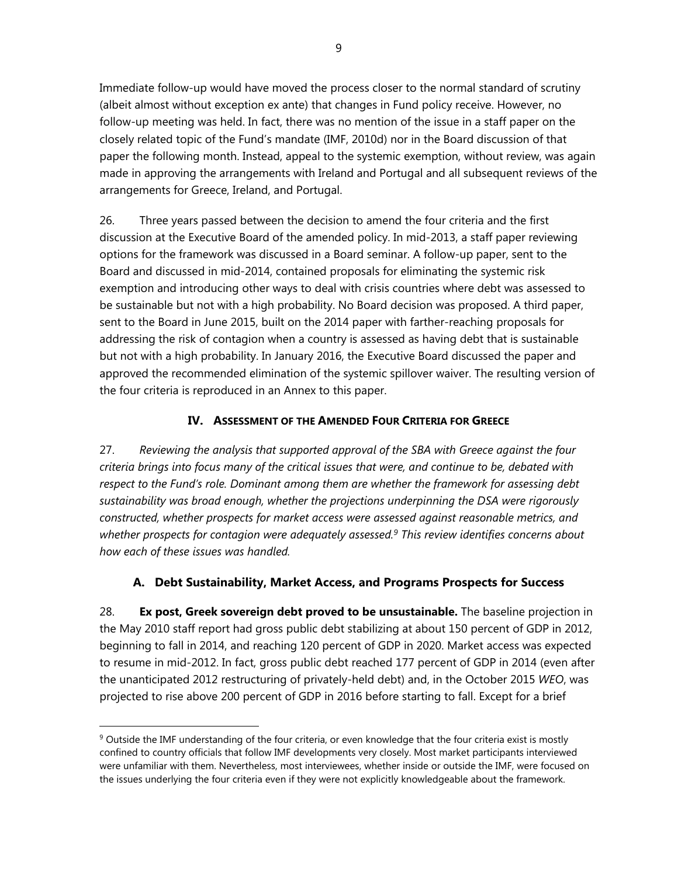Immediate follow-up would have moved the process closer to the normal standard of scrutiny (albeit almost without exception ex ante) that changes in Fund policy receive. However, no follow-up meeting was held. In fact, there was no mention of the issue in a staff paper on the closely related topic of the Fund's mandate (IMF, 2010d) nor in the Board discussion of that paper the following month. Instead, appeal to the systemic exemption, without review, was again made in approving the arrangements with Ireland and Portugal and all subsequent reviews of the arrangements for Greece, Ireland, and Portugal.

26. Three years passed between the decision to amend the four criteria and the first discussion at the Executive Board of the amended policy. In mid-2013, a staff paper reviewing options for the framework was discussed in a Board seminar. A follow-up paper, sent to the Board and discussed in mid-2014, contained proposals for eliminating the systemic risk exemption and introducing other ways to deal with crisis countries where debt was assessed to be sustainable but not with a high probability. No Board decision was proposed. A third paper, sent to the Board in June 2015, built on the 2014 paper with farther-reaching proposals for addressing the risk of contagion when a country is assessed as having debt that is sustainable but not with a high probability. In January 2016, the Executive Board discussed the paper and approved the recommended elimination of the systemic spillover waiver. The resulting version of the four criteria is reproduced in an Annex to this paper.

## **IV. ASSESSMENT OF THE AMENDED FOUR CRITERIA FOR GREECE**

27. *Reviewing the analysis that supported approval of the SBA with Greece against the four criteria brings into focus many of the critical issues that were, and continue to be, debated with respect to the Fund's role. Dominant among them are whether the framework for assessing debt sustainability was broad enough, whether the projections underpinning the DSA were rigorously constructed, whether prospects for market access were assessed against reasonable metrics, and whether prospects for contagion were adequately assessed.9 This review identifies concerns about how each of these issues was handled.* 

## **A. Debt Sustainability, Market Access, and Programs Prospects for Success**

28. **Ex post, Greek sovereign debt proved to be unsustainable.** The baseline projection in the May 2010 staff report had gross public debt stabilizing at about 150 percent of GDP in 2012, beginning to fall in 2014, and reaching 120 percent of GDP in 2020. Market access was expected to resume in mid-2012. In fact, gross public debt reached 177 percent of GDP in 2014 (even after the unanticipated 2012 restructuring of privately-held debt) and, in the October 2015 *WEO*, was projected to rise above 200 percent of GDP in 2016 before starting to fall. Except for a brief

 $9$  Outside the IMF understanding of the four criteria, or even knowledge that the four criteria exist is mostly confined to country officials that follow IMF developments very closely. Most market participants interviewed were unfamiliar with them. Nevertheless, most interviewees, whether inside or outside the IMF, were focused on the issues underlying the four criteria even if they were not explicitly knowledgeable about the framework.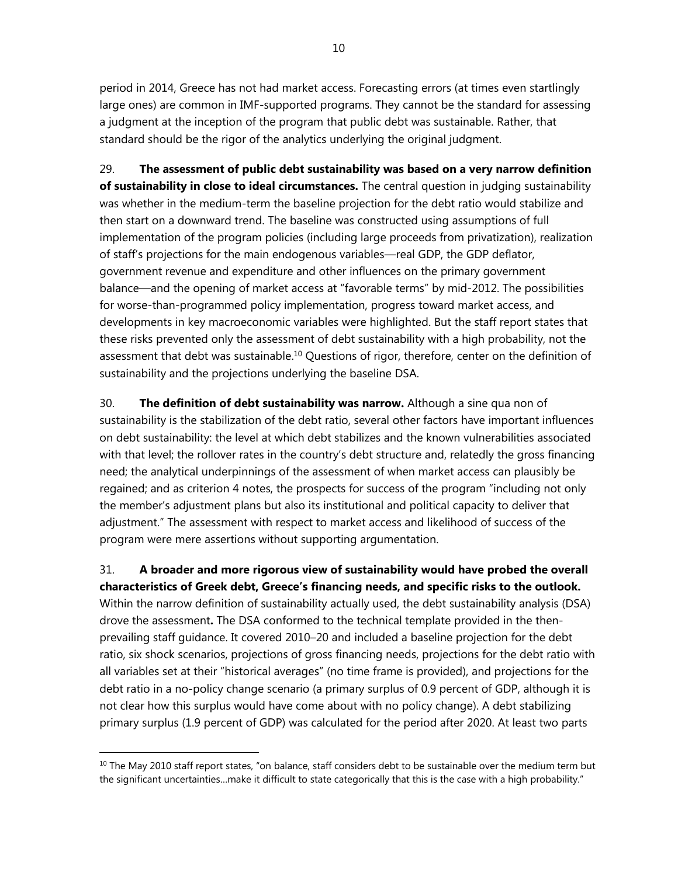period in 2014, Greece has not had market access. Forecasting errors (at times even startlingly large ones) are common in IMF-supported programs. They cannot be the standard for assessing a judgment at the inception of the program that public debt was sustainable. Rather, that standard should be the rigor of the analytics underlying the original judgment.

29. **The assessment of public debt sustainability was based on a very narrow definition of sustainability in close to ideal circumstances.** The central question in judging sustainability was whether in the medium-term the baseline projection for the debt ratio would stabilize and then start on a downward trend. The baseline was constructed using assumptions of full implementation of the program policies (including large proceeds from privatization), realization of staff's projections for the main endogenous variables—real GDP, the GDP deflator, government revenue and expenditure and other influences on the primary government balance—and the opening of market access at "favorable terms" by mid-2012. The possibilities for worse-than-programmed policy implementation, progress toward market access, and developments in key macroeconomic variables were highlighted. But the staff report states that these risks prevented only the assessment of debt sustainability with a high probability, not the assessment that debt was sustainable.<sup>10</sup> Questions of rigor, therefore, center on the definition of sustainability and the projections underlying the baseline DSA.

30. **The definition of debt sustainability was narrow.** Although a sine qua non of sustainability is the stabilization of the debt ratio, several other factors have important influences on debt sustainability: the level at which debt stabilizes and the known vulnerabilities associated with that level; the rollover rates in the country's debt structure and, relatedly the gross financing need; the analytical underpinnings of the assessment of when market access can plausibly be regained; and as criterion 4 notes, the prospects for success of the program "including not only the member's adjustment plans but also its institutional and political capacity to deliver that adjustment." The assessment with respect to market access and likelihood of success of the program were mere assertions without supporting argumentation.

31. **A broader and more rigorous view of sustainability would have probed the overall characteristics of Greek debt, Greece's financing needs, and specific risks to the outlook.** Within the narrow definition of sustainability actually used, the debt sustainability analysis (DSA) drove the assessment**.** The DSA conformed to the technical template provided in the thenprevailing staff guidance. It covered 2010–20 and included a baseline projection for the debt ratio, six shock scenarios, projections of gross financing needs, projections for the debt ratio with all variables set at their "historical averages" (no time frame is provided), and projections for the debt ratio in a no-policy change scenario (a primary surplus of 0.9 percent of GDP, although it is not clear how this surplus would have come about with no policy change). A debt stabilizing primary surplus (1.9 percent of GDP) was calculated for the period after 2020. At least two parts

 $10$  The May 2010 staff report states, "on balance, staff considers debt to be sustainable over the medium term but the significant uncertainties…make it difficult to state categorically that this is the case with a high probability."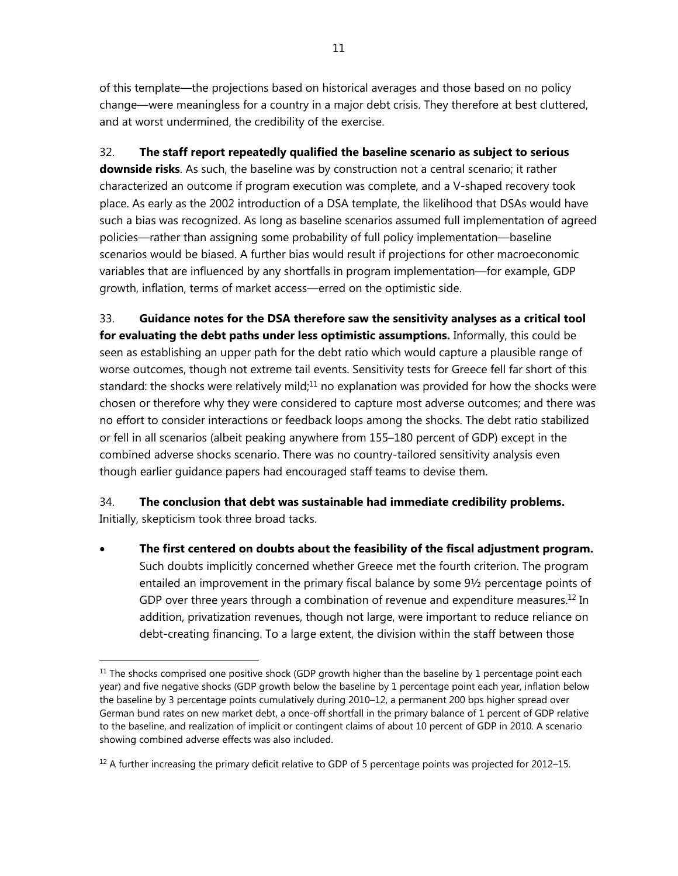of this template—the projections based on historical averages and those based on no policy change—were meaningless for a country in a major debt crisis. They therefore at best cluttered, and at worst undermined, the credibility of the exercise.

32. **The staff report repeatedly qualified the baseline scenario as subject to serious downside risks**. As such, the baseline was by construction not a central scenario; it rather characterized an outcome if program execution was complete, and a V-shaped recovery took place. As early as the 2002 introduction of a DSA template, the likelihood that DSAs would have such a bias was recognized. As long as baseline scenarios assumed full implementation of agreed policies—rather than assigning some probability of full policy implementation—baseline scenarios would be biased. A further bias would result if projections for other macroeconomic variables that are influenced by any shortfalls in program implementation—for example, GDP growth, inflation, terms of market access—erred on the optimistic side.

33. **Guidance notes for the DSA therefore saw the sensitivity analyses as a critical tool for evaluating the debt paths under less optimistic assumptions.** Informally, this could be seen as establishing an upper path for the debt ratio which would capture a plausible range of worse outcomes, though not extreme tail events. Sensitivity tests for Greece fell far short of this standard: the shocks were relatively mild;<sup>11</sup> no explanation was provided for how the shocks were chosen or therefore why they were considered to capture most adverse outcomes; and there was no effort to consider interactions or feedback loops among the shocks. The debt ratio stabilized or fell in all scenarios (albeit peaking anywhere from 155–180 percent of GDP) except in the combined adverse shocks scenario. There was no country-tailored sensitivity analysis even though earlier guidance papers had encouraged staff teams to devise them.

34. **The conclusion that debt was sustainable had immediate credibility problems.** Initially, skepticism took three broad tacks.

 **The first centered on doubts about the feasibility of the fiscal adjustment program.** Such doubts implicitly concerned whether Greece met the fourth criterion. The program entailed an improvement in the primary fiscal balance by some 9½ percentage points of GDP over three years through a combination of revenue and expenditure measures.<sup>12</sup> In addition, privatization revenues, though not large, were important to reduce reliance on debt-creating financing. To a large extent, the division within the staff between those

 $11$  The shocks comprised one positive shock (GDP growth higher than the baseline by 1 percentage point each year) and five negative shocks (GDP growth below the baseline by 1 percentage point each year, inflation below the baseline by 3 percentage points cumulatively during 2010–12, a permanent 200 bps higher spread over German bund rates on new market debt, a once-off shortfall in the primary balance of 1 percent of GDP relative to the baseline, and realization of implicit or contingent claims of about 10 percent of GDP in 2010. A scenario showing combined adverse effects was also included.

 $12$  A further increasing the primary deficit relative to GDP of 5 percentage points was projected for 2012–15.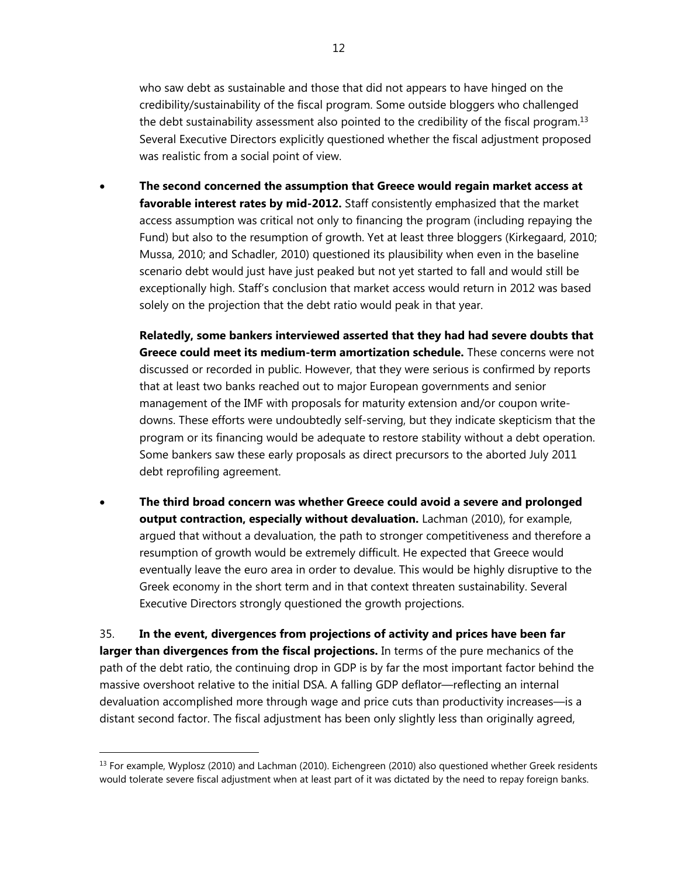who saw debt as sustainable and those that did not appears to have hinged on the credibility/sustainability of the fiscal program. Some outside bloggers who challenged the debt sustainability assessment also pointed to the credibility of the fiscal program.<sup>13</sup> Several Executive Directors explicitly questioned whether the fiscal adjustment proposed was realistic from a social point of view.

 **The second concerned the assumption that Greece would regain market access at favorable interest rates by mid-2012.** Staff consistently emphasized that the market access assumption was critical not only to financing the program (including repaying the Fund) but also to the resumption of growth. Yet at least three bloggers (Kirkegaard, 2010; Mussa, 2010; and Schadler, 2010) questioned its plausibility when even in the baseline scenario debt would just have just peaked but not yet started to fall and would still be exceptionally high. Staff's conclusion that market access would return in 2012 was based solely on the projection that the debt ratio would peak in that year.

**Relatedly, some bankers interviewed asserted that they had had severe doubts that Greece could meet its medium-term amortization schedule.** These concerns were not discussed or recorded in public. However, that they were serious is confirmed by reports that at least two banks reached out to major European governments and senior management of the IMF with proposals for maturity extension and/or coupon writedowns. These efforts were undoubtedly self-serving, but they indicate skepticism that the program or its financing would be adequate to restore stability without a debt operation. Some bankers saw these early proposals as direct precursors to the aborted July 2011 debt reprofiling agreement.

 **The third broad concern was whether Greece could avoid a severe and prolonged output contraction, especially without devaluation.** Lachman (2010), for example, argued that without a devaluation, the path to stronger competitiveness and therefore a resumption of growth would be extremely difficult. He expected that Greece would eventually leave the euro area in order to devalue. This would be highly disruptive to the Greek economy in the short term and in that context threaten sustainability. Several Executive Directors strongly questioned the growth projections.

35. **In the event, divergences from projections of activity and prices have been far larger than divergences from the fiscal projections.** In terms of the pure mechanics of the path of the debt ratio, the continuing drop in GDP is by far the most important factor behind the massive overshoot relative to the initial DSA. A falling GDP deflator—reflecting an internal devaluation accomplished more through wage and price cuts than productivity increases—is a distant second factor. The fiscal adjustment has been only slightly less than originally agreed,

<sup>&</sup>lt;sup>13</sup> For example, Wyplosz (2010) and Lachman (2010). Eichengreen (2010) also questioned whether Greek residents would tolerate severe fiscal adjustment when at least part of it was dictated by the need to repay foreign banks.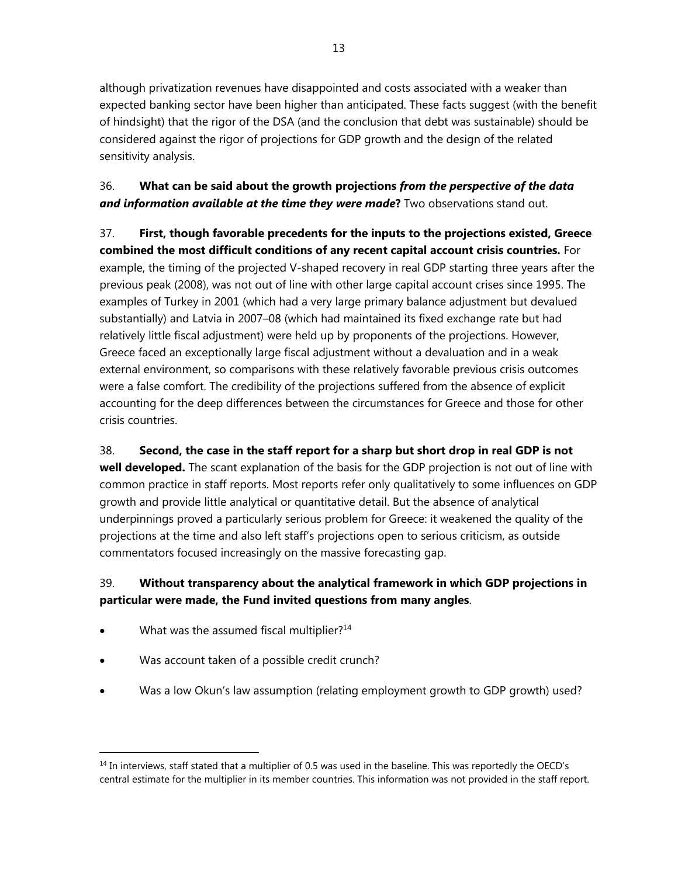although privatization revenues have disappointed and costs associated with a weaker than expected banking sector have been higher than anticipated. These facts suggest (with the benefit of hindsight) that the rigor of the DSA (and the conclusion that debt was sustainable) should be considered against the rigor of projections for GDP growth and the design of the related sensitivity analysis.

## 36. **What can be said about the growth projections** *from the perspective of the data and information available at the time they were made***?** Two observations stand out.

37. **First, though favorable precedents for the inputs to the projections existed, Greece combined the most difficult conditions of any recent capital account crisis countries.** For example, the timing of the projected V-shaped recovery in real GDP starting three years after the previous peak (2008), was not out of line with other large capital account crises since 1995. The examples of Turkey in 2001 (which had a very large primary balance adjustment but devalued substantially) and Latvia in 2007–08 (which had maintained its fixed exchange rate but had relatively little fiscal adjustment) were held up by proponents of the projections. However, Greece faced an exceptionally large fiscal adjustment without a devaluation and in a weak external environment, so comparisons with these relatively favorable previous crisis outcomes were a false comfort. The credibility of the projections suffered from the absence of explicit accounting for the deep differences between the circumstances for Greece and those for other crisis countries.

38. **Second, the case in the staff report for a sharp but short drop in real GDP is not well developed.** The scant explanation of the basis for the GDP projection is not out of line with common practice in staff reports. Most reports refer only qualitatively to some influences on GDP growth and provide little analytical or quantitative detail. But the absence of analytical underpinnings proved a particularly serious problem for Greece: it weakened the quality of the projections at the time and also left staff's projections open to serious criticism, as outside commentators focused increasingly on the massive forecasting gap.

## 39. **Without transparency about the analytical framework in which GDP projections in particular were made, the Fund invited questions from many angles**.

What was the assumed fiscal multiplier?<sup>14</sup>

- Was account taken of a possible credit crunch?
- Was a low Okun's law assumption (relating employment growth to GDP growth) used?

<sup>&</sup>lt;sup>14</sup> In interviews, staff stated that a multiplier of 0.5 was used in the baseline. This was reportedly the OECD's central estimate for the multiplier in its member countries. This information was not provided in the staff report.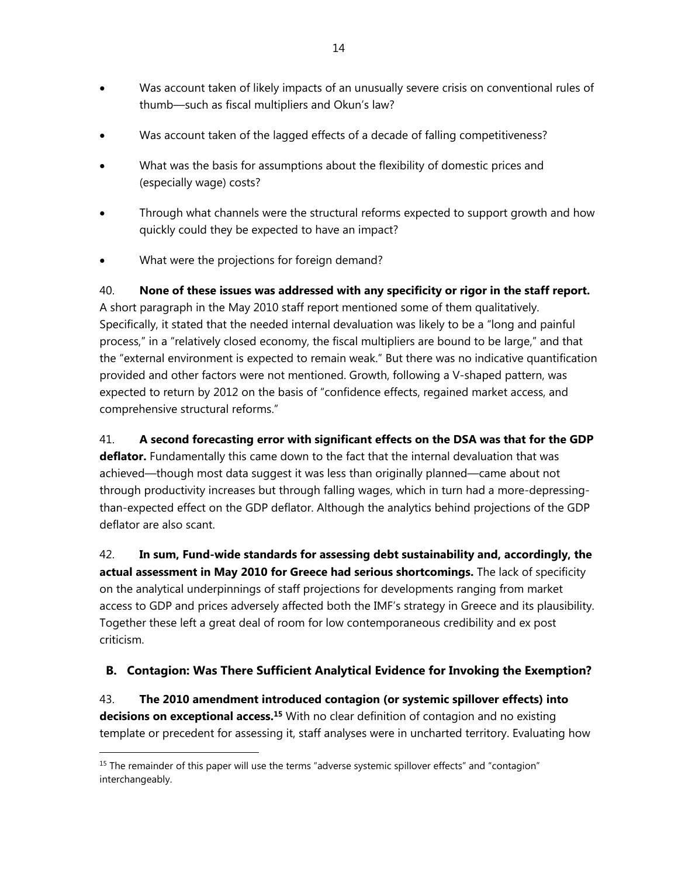- Was account taken of likely impacts of an unusually severe crisis on conventional rules of thumb—such as fiscal multipliers and Okun's law?
- Was account taken of the lagged effects of a decade of falling competitiveness?
- What was the basis for assumptions about the flexibility of domestic prices and (especially wage) costs?
- Through what channels were the structural reforms expected to support growth and how quickly could they be expected to have an impact?
- What were the projections for foreign demand?

40. **None of these issues was addressed with any specificity or rigor in the staff report.**  A short paragraph in the May 2010 staff report mentioned some of them qualitatively. Specifically, it stated that the needed internal devaluation was likely to be a "long and painful process," in a "relatively closed economy, the fiscal multipliers are bound to be large," and that the "external environment is expected to remain weak." But there was no indicative quantification provided and other factors were not mentioned. Growth, following a V-shaped pattern, was expected to return by 2012 on the basis of "confidence effects, regained market access, and comprehensive structural reforms."

41. **A second forecasting error with significant effects on the DSA was that for the GDP deflator.** Fundamentally this came down to the fact that the internal devaluation that was achieved—though most data suggest it was less than originally planned—came about not through productivity increases but through falling wages, which in turn had a more-depressingthan-expected effect on the GDP deflator. Although the analytics behind projections of the GDP deflator are also scant.

42. **In sum, Fund-wide standards for assessing debt sustainability and, accordingly, the actual assessment in May 2010 for Greece had serious shortcomings.** The lack of specificity on the analytical underpinnings of staff projections for developments ranging from market access to GDP and prices adversely affected both the IMF's strategy in Greece and its plausibility. Together these left a great deal of room for low contemporaneous credibility and ex post criticism.

## **B. Contagion: Was There Sufficient Analytical Evidence for Invoking the Exemption?**

43. **The 2010 amendment introduced contagion (or systemic spillover effects) into**  decisions on exceptional access.<sup>15</sup> With no clear definition of contagion and no existing template or precedent for assessing it, staff analyses were in uncharted territory. Evaluating how

<sup>&</sup>lt;sup>15</sup> The remainder of this paper will use the terms "adverse systemic spillover effects" and "contagion" interchangeably.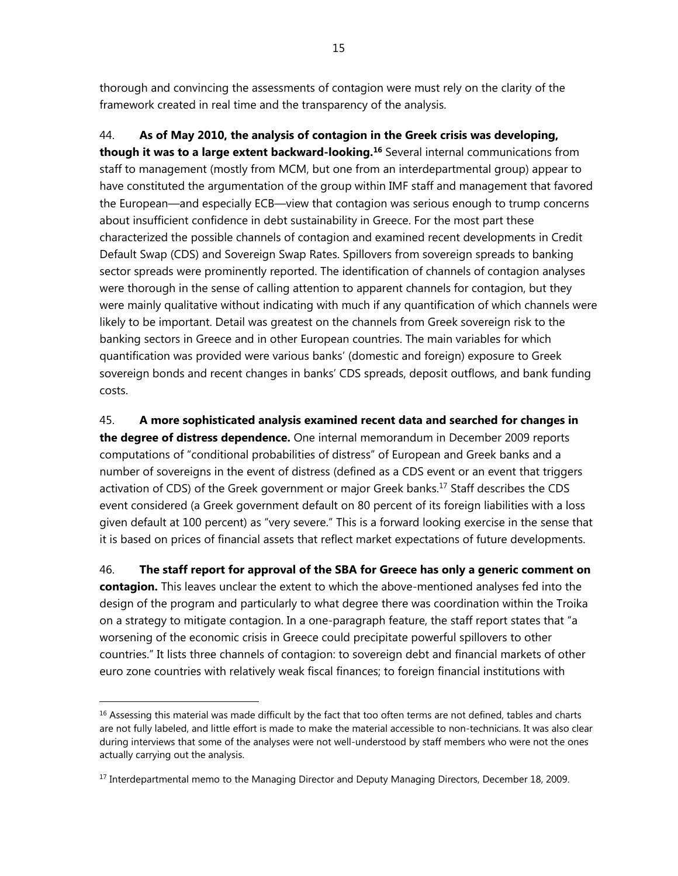thorough and convincing the assessments of contagion were must rely on the clarity of the framework created in real time and the transparency of the analysis.

44. **As of May 2010, the analysis of contagion in the Greek crisis was developing, though it was to a large extent backward-looking.16** Several internal communications from staff to management (mostly from MCM, but one from an interdepartmental group) appear to have constituted the argumentation of the group within IMF staff and management that favored the European—and especially ECB—view that contagion was serious enough to trump concerns about insufficient confidence in debt sustainability in Greece. For the most part these characterized the possible channels of contagion and examined recent developments in Credit Default Swap (CDS) and Sovereign Swap Rates. Spillovers from sovereign spreads to banking sector spreads were prominently reported. The identification of channels of contagion analyses were thorough in the sense of calling attention to apparent channels for contagion, but they were mainly qualitative without indicating with much if any quantification of which channels were likely to be important. Detail was greatest on the channels from Greek sovereign risk to the banking sectors in Greece and in other European countries. The main variables for which quantification was provided were various banks' (domestic and foreign) exposure to Greek sovereign bonds and recent changes in banks' CDS spreads, deposit outflows, and bank funding costs.

45. **A more sophisticated analysis examined recent data and searched for changes in the degree of distress dependence.** One internal memorandum in December 2009 reports computations of "conditional probabilities of distress" of European and Greek banks and a number of sovereigns in the event of distress (defined as a CDS event or an event that triggers activation of CDS) of the Greek government or major Greek banks.17 Staff describes the CDS event considered (a Greek government default on 80 percent of its foreign liabilities with a loss given default at 100 percent) as "very severe." This is a forward looking exercise in the sense that it is based on prices of financial assets that reflect market expectations of future developments.

46. **The staff report for approval of the SBA for Greece has only a generic comment on contagion.** This leaves unclear the extent to which the above-mentioned analyses fed into the design of the program and particularly to what degree there was coordination within the Troika on a strategy to mitigate contagion. In a one-paragraph feature, the staff report states that "a worsening of the economic crisis in Greece could precipitate powerful spillovers to other countries." It lists three channels of contagion: to sovereign debt and financial markets of other euro zone countries with relatively weak fiscal finances; to foreign financial institutions with

<sup>&</sup>lt;sup>16</sup> Assessing this material was made difficult by the fact that too often terms are not defined, tables and charts are not fully labeled, and little effort is made to make the material accessible to non-technicians. It was also clear during interviews that some of the analyses were not well-understood by staff members who were not the ones actually carrying out the analysis.

<sup>&</sup>lt;sup>17</sup> Interdepartmental memo to the Managing Director and Deputy Managing Directors, December 18, 2009.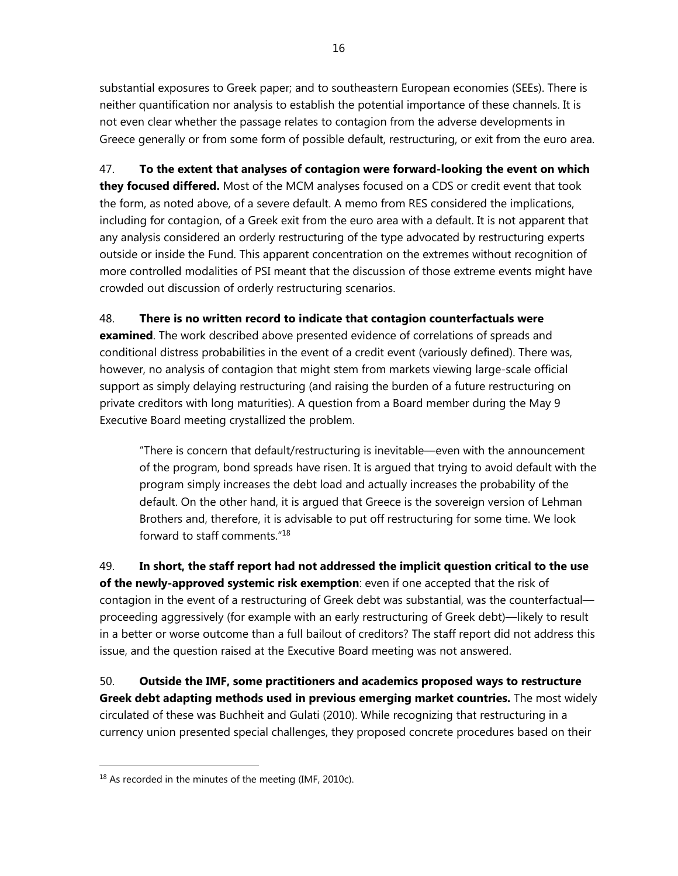substantial exposures to Greek paper; and to southeastern European economies (SEEs). There is neither quantification nor analysis to establish the potential importance of these channels. It is not even clear whether the passage relates to contagion from the adverse developments in Greece generally or from some form of possible default, restructuring, or exit from the euro area.

47. **To the extent that analyses of contagion were forward-looking the event on which they focused differed.** Most of the MCM analyses focused on a CDS or credit event that took the form, as noted above, of a severe default. A memo from RES considered the implications, including for contagion, of a Greek exit from the euro area with a default. It is not apparent that any analysis considered an orderly restructuring of the type advocated by restructuring experts outside or inside the Fund. This apparent concentration on the extremes without recognition of more controlled modalities of PSI meant that the discussion of those extreme events might have crowded out discussion of orderly restructuring scenarios.

## 48. **There is no written record to indicate that contagion counterfactuals were**

**examined**. The work described above presented evidence of correlations of spreads and conditional distress probabilities in the event of a credit event (variously defined). There was, however, no analysis of contagion that might stem from markets viewing large-scale official support as simply delaying restructuring (and raising the burden of a future restructuring on private creditors with long maturities). A question from a Board member during the May 9 Executive Board meeting crystallized the problem.

"There is concern that default/restructuring is inevitable—even with the announcement of the program, bond spreads have risen. It is argued that trying to avoid default with the program simply increases the debt load and actually increases the probability of the default. On the other hand, it is argued that Greece is the sovereign version of Lehman Brothers and, therefore, it is advisable to put off restructuring for some time. We look forward to staff comments."18

49. **In short, the staff report had not addressed the implicit question critical to the use of the newly-approved systemic risk exemption**: even if one accepted that the risk of contagion in the event of a restructuring of Greek debt was substantial, was the counterfactual proceeding aggressively (for example with an early restructuring of Greek debt)—likely to result in a better or worse outcome than a full bailout of creditors? The staff report did not address this issue, and the question raised at the Executive Board meeting was not answered.

50. **Outside the IMF, some practitioners and academics proposed ways to restructure Greek debt adapting methods used in previous emerging market countries.** The most widely circulated of these was Buchheit and Gulati (2010). While recognizing that restructuring in a currency union presented special challenges, they proposed concrete procedures based on their

<sup>&</sup>lt;sup>18</sup> As recorded in the minutes of the meeting (IMF, 2010c).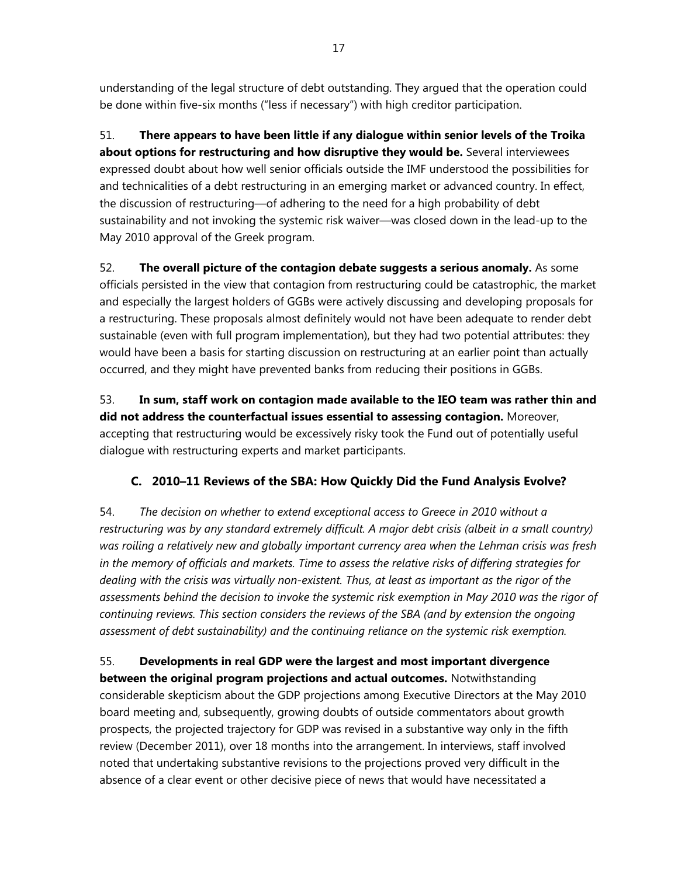understanding of the legal structure of debt outstanding. They argued that the operation could be done within five-six months ("less if necessary") with high creditor participation.

51. **There appears to have been little if any dialogue within senior levels of the Troika about options for restructuring and how disruptive they would be.** Several interviewees expressed doubt about how well senior officials outside the IMF understood the possibilities for and technicalities of a debt restructuring in an emerging market or advanced country. In effect, the discussion of restructuring—of adhering to the need for a high probability of debt sustainability and not invoking the systemic risk waiver—was closed down in the lead-up to the May 2010 approval of the Greek program.

52. **The overall picture of the contagion debate suggests a serious anomaly.** As some officials persisted in the view that contagion from restructuring could be catastrophic, the market and especially the largest holders of GGBs were actively discussing and developing proposals for a restructuring. These proposals almost definitely would not have been adequate to render debt sustainable (even with full program implementation), but they had two potential attributes: they would have been a basis for starting discussion on restructuring at an earlier point than actually occurred, and they might have prevented banks from reducing their positions in GGBs.

53. **In sum, staff work on contagion made available to the IEO team was rather thin and did not address the counterfactual issues essential to assessing contagion.** Moreover, accepting that restructuring would be excessively risky took the Fund out of potentially useful dialogue with restructuring experts and market participants.

## **C. 2010–11 Reviews of the SBA: How Quickly Did the Fund Analysis Evolve?**

54. *The decision on whether to extend exceptional access to Greece in 2010 without a restructuring was by any standard extremely difficult. A major debt crisis (albeit in a small country) was roiling a relatively new and globally important currency area when the Lehman crisis was fresh in the memory of officials and markets. Time to assess the relative risks of differing strategies for dealing with the crisis was virtually non-existent. Thus, at least as important as the rigor of the assessments behind the decision to invoke the systemic risk exemption in May 2010 was the rigor of continuing reviews. This section considers the reviews of the SBA (and by extension the ongoing assessment of debt sustainability) and the continuing reliance on the systemic risk exemption.*

55. **Developments in real GDP were the largest and most important divergence between the original program projections and actual outcomes.** Notwithstanding considerable skepticism about the GDP projections among Executive Directors at the May 2010 board meeting and, subsequently, growing doubts of outside commentators about growth prospects, the projected trajectory for GDP was revised in a substantive way only in the fifth review (December 2011), over 18 months into the arrangement. In interviews, staff involved noted that undertaking substantive revisions to the projections proved very difficult in the absence of a clear event or other decisive piece of news that would have necessitated a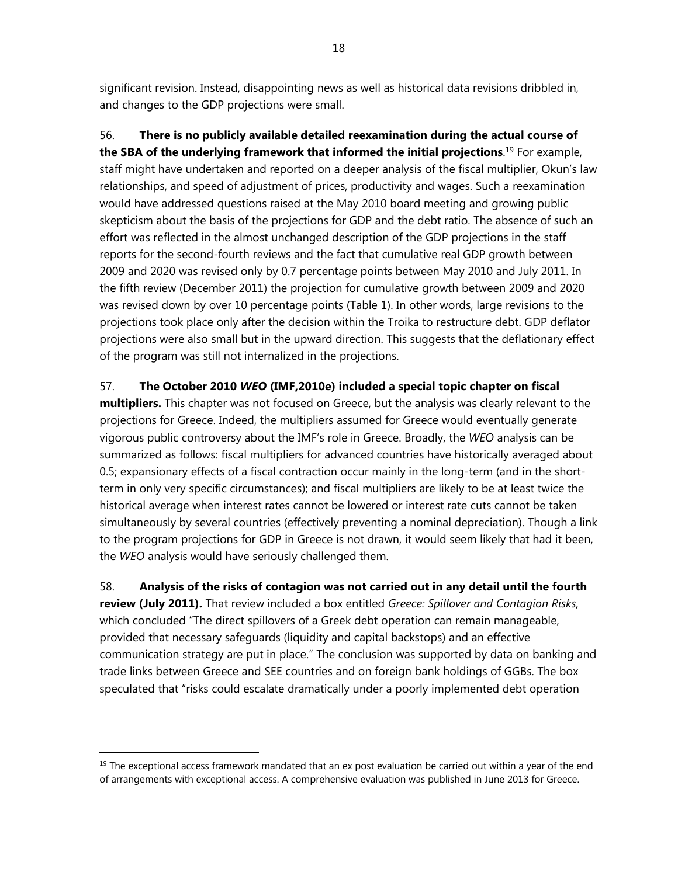significant revision. Instead, disappointing news as well as historical data revisions dribbled in, and changes to the GDP projections were small.

56. **There is no publicly available detailed reexamination during the actual course of the SBA of the underlying framework that informed the initial projections**. 19 For example, staff might have undertaken and reported on a deeper analysis of the fiscal multiplier, Okun's law relationships, and speed of adjustment of prices, productivity and wages. Such a reexamination would have addressed questions raised at the May 2010 board meeting and growing public skepticism about the basis of the projections for GDP and the debt ratio. The absence of such an effort was reflected in the almost unchanged description of the GDP projections in the staff reports for the second-fourth reviews and the fact that cumulative real GDP growth between 2009 and 2020 was revised only by 0.7 percentage points between May 2010 and July 2011. In the fifth review (December 2011) the projection for cumulative growth between 2009 and 2020 was revised down by over 10 percentage points (Table 1). In other words, large revisions to the projections took place only after the decision within the Troika to restructure debt. GDP deflator projections were also small but in the upward direction. This suggests that the deflationary effect of the program was still not internalized in the projections.

## 57. **The October 2010** *WEO* **(IMF,2010e) included a special topic chapter on fiscal**

**multipliers.** This chapter was not focused on Greece, but the analysis was clearly relevant to the projections for Greece. Indeed, the multipliers assumed for Greece would eventually generate vigorous public controversy about the IMF's role in Greece. Broadly, the *WEO* analysis can be summarized as follows: fiscal multipliers for advanced countries have historically averaged about 0.5; expansionary effects of a fiscal contraction occur mainly in the long-term (and in the shortterm in only very specific circumstances); and fiscal multipliers are likely to be at least twice the historical average when interest rates cannot be lowered or interest rate cuts cannot be taken simultaneously by several countries (effectively preventing a nominal depreciation). Though a link to the program projections for GDP in Greece is not drawn, it would seem likely that had it been, the *WEO* analysis would have seriously challenged them.

58. **Analysis of the risks of contagion was not carried out in any detail until the fourth review (July 2011).** That review included a box entitled *Greece: Spillover and Contagion Risks,* which concluded "The direct spillovers of a Greek debt operation can remain manageable, provided that necessary safeguards (liquidity and capital backstops) and an effective communication strategy are put in place." The conclusion was supported by data on banking and trade links between Greece and SEE countries and on foreign bank holdings of GGBs. The box speculated that "risks could escalate dramatically under a poorly implemented debt operation

 $19$  The exceptional access framework mandated that an ex post evaluation be carried out within a year of the end of arrangements with exceptional access. A comprehensive evaluation was published in June 2013 for Greece.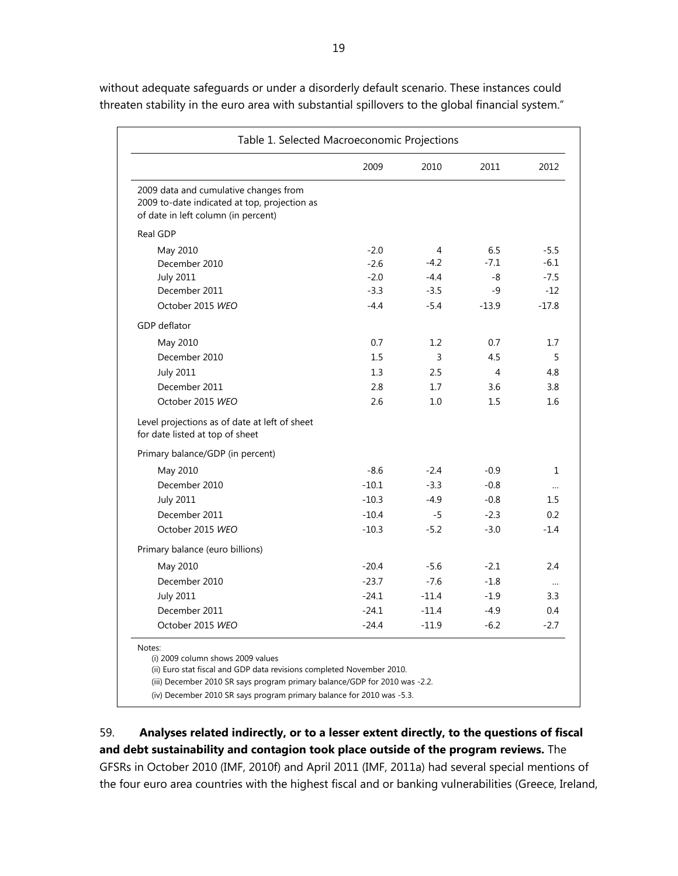|                                                                                                                              | 2009    | 2010    | 2011    | 2012         |
|------------------------------------------------------------------------------------------------------------------------------|---------|---------|---------|--------------|
| 2009 data and cumulative changes from<br>2009 to-date indicated at top, projection as<br>of date in left column (in percent) |         |         |         |              |
| Real GDP                                                                                                                     |         |         |         |              |
| May 2010                                                                                                                     | $-2.0$  | 4       | 6.5     | $-5.5$       |
| December 2010                                                                                                                | $-2.6$  | $-4.2$  | $-7.1$  | $-6.1$       |
| <b>July 2011</b>                                                                                                             | $-2.0$  | $-4.4$  | -8      | $-7.5$       |
| December 2011                                                                                                                | $-3.3$  | $-3.5$  | -9      | $-12$        |
| October 2015 WEO                                                                                                             | $-4.4$  | $-5.4$  | $-13.9$ | $-17.8$      |
| GDP deflator                                                                                                                 |         |         |         |              |
| May 2010                                                                                                                     | 0.7     | 1.2     | 0.7     | 1.7          |
| December 2010                                                                                                                | 1.5     | 3       | 4.5     | 5            |
| <b>July 2011</b>                                                                                                             | 1.3     | 2.5     | 4       | 4.8          |
| December 2011                                                                                                                | 2.8     | 1.7     | 3.6     | 3.8          |
| October 2015 WEO                                                                                                             | 2.6     | 1.0     | 1.5     | 1.6          |
| Level projections as of date at left of sheet<br>for date listed at top of sheet                                             |         |         |         |              |
| Primary balance/GDP (in percent)                                                                                             |         |         |         |              |
| May 2010                                                                                                                     | $-8.6$  | $-2.4$  | $-0.9$  | $\mathbf{1}$ |
| December 2010                                                                                                                | $-10.1$ | $-3.3$  | $-0.8$  |              |
| <b>July 2011</b>                                                                                                             | $-10.3$ | $-4.9$  | $-0.8$  | $1.5\,$      |
| December 2011                                                                                                                | $-10.4$ | $-5$    | $-2.3$  | 0.2          |
| October 2015 WEO                                                                                                             | $-10.3$ | $-5.2$  | $-3.0$  | $-1.4$       |
| Primary balance (euro billions)                                                                                              |         |         |         |              |
| May 2010                                                                                                                     | $-20.4$ | $-5.6$  | $-2.1$  | 2.4          |
| December 2010                                                                                                                | $-23.7$ | $-7.6$  | $-1.8$  | $\ldots$     |
| <b>July 2011</b>                                                                                                             | $-24.1$ | $-11.4$ | $-1.9$  | 3.3          |
| December 2011                                                                                                                | $-24.1$ | $-11.4$ | $-4.9$  | 0.4          |
| October 2015 WEO                                                                                                             | $-24.4$ | $-11.9$ | $-6.2$  | $-2.7$       |
| Notes:                                                                                                                       |         |         |         |              |
| (i) 2009 column shows 2009 values                                                                                            |         |         |         |              |

without adequate safeguards or under a disorderly default scenario. These instances could threaten stability in the euro area with substantial spillovers to the global financial system."

59. **Analyses related indirectly, or to a lesser extent directly, to the questions of fiscal and debt sustainability and contagion took place outside of the program reviews.** The GFSRs in October 2010 (IMF, 2010f) and April 2011 (IMF, 2011a) had several special mentions of the four euro area countries with the highest fiscal and or banking vulnerabilities (Greece, Ireland,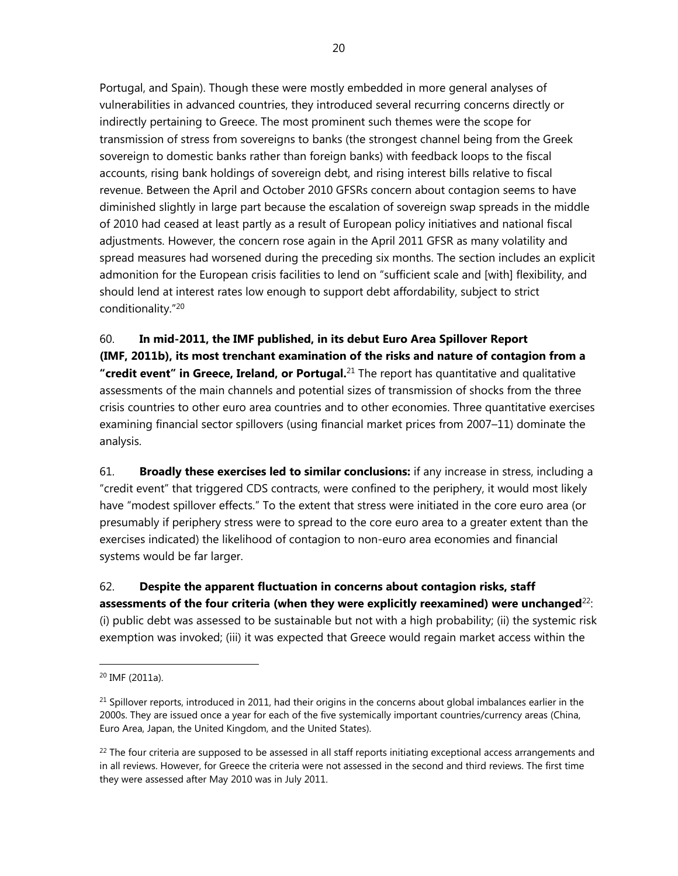Portugal, and Spain). Though these were mostly embedded in more general analyses of vulnerabilities in advanced countries, they introduced several recurring concerns directly or indirectly pertaining to Greece. The most prominent such themes were the scope for transmission of stress from sovereigns to banks (the strongest channel being from the Greek sovereign to domestic banks rather than foreign banks) with feedback loops to the fiscal accounts, rising bank holdings of sovereign debt, and rising interest bills relative to fiscal revenue. Between the April and October 2010 GFSRs concern about contagion seems to have diminished slightly in large part because the escalation of sovereign swap spreads in the middle of 2010 had ceased at least partly as a result of European policy initiatives and national fiscal adjustments. However, the concern rose again in the April 2011 GFSR as many volatility and spread measures had worsened during the preceding six months. The section includes an explicit admonition for the European crisis facilities to lend on "sufficient scale and [with] flexibility, and should lend at interest rates low enough to support debt affordability, subject to strict conditionality."20

60. **In mid-2011, the IMF published, in its debut Euro Area Spillover Report (IMF, 2011b), its most trenchant examination of the risks and nature of contagion from a "credit event" in Greece, Ireland, or Portugal.**21 The report has quantitative and qualitative assessments of the main channels and potential sizes of transmission of shocks from the three crisis countries to other euro area countries and to other economies. Three quantitative exercises examining financial sector spillovers (using financial market prices from 2007–11) dominate the analysis.

61. **Broadly these exercises led to similar conclusions:** if any increase in stress, including a "credit event" that triggered CDS contracts, were confined to the periphery, it would most likely have "modest spillover effects." To the extent that stress were initiated in the core euro area (or presumably if periphery stress were to spread to the core euro area to a greater extent than the exercises indicated) the likelihood of contagion to non-euro area economies and financial systems would be far larger.

62. **Despite the apparent fluctuation in concerns about contagion risks, staff assessments of the four criteria (when they were explicitly reexamined) were unchanged**22: (i) public debt was assessed to be sustainable but not with a high probability; (ii) the systemic risk exemption was invoked; (iii) it was expected that Greece would regain market access within the

<sup>20</sup> IMF (2011a).

 $^{21}$  Spillover reports, introduced in 2011, had their origins in the concerns about global imbalances earlier in the 2000s. They are issued once a year for each of the five systemically important countries/currency areas (China, Euro Area, Japan, the United Kingdom, and the United States).

 $22$  The four criteria are supposed to be assessed in all staff reports initiating exceptional access arrangements and in all reviews. However, for Greece the criteria were not assessed in the second and third reviews. The first time they were assessed after May 2010 was in July 2011.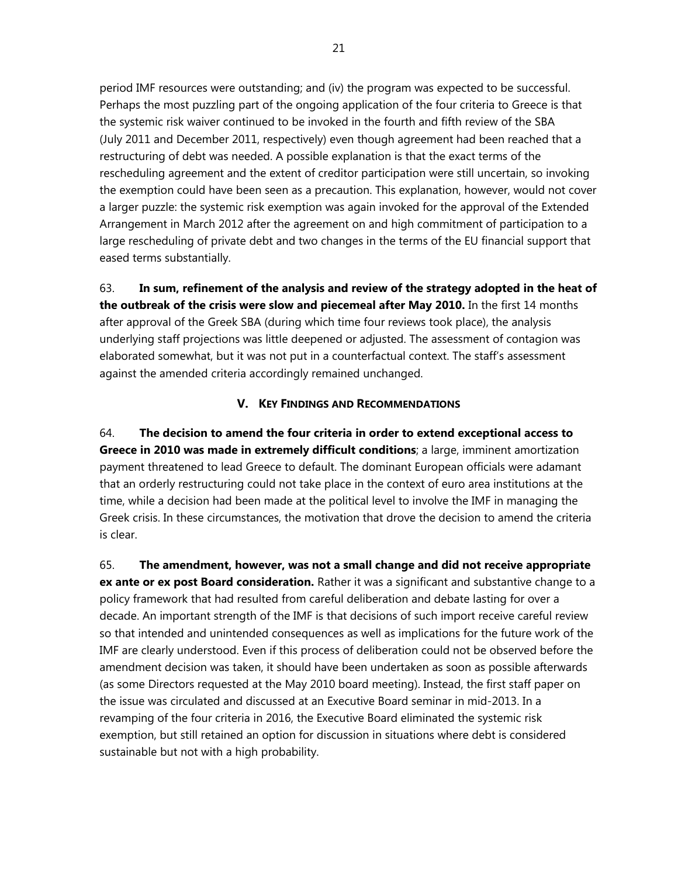period IMF resources were outstanding; and (iv) the program was expected to be successful. Perhaps the most puzzling part of the ongoing application of the four criteria to Greece is that the systemic risk waiver continued to be invoked in the fourth and fifth review of the SBA (July 2011 and December 2011, respectively) even though agreement had been reached that a restructuring of debt was needed. A possible explanation is that the exact terms of the rescheduling agreement and the extent of creditor participation were still uncertain, so invoking the exemption could have been seen as a precaution. This explanation, however, would not cover a larger puzzle: the systemic risk exemption was again invoked for the approval of the Extended Arrangement in March 2012 after the agreement on and high commitment of participation to a large rescheduling of private debt and two changes in the terms of the EU financial support that eased terms substantially.

63. **In sum, refinement of the analysis and review of the strategy adopted in the heat of the outbreak of the crisis were slow and piecemeal after May 2010.** In the first 14 months after approval of the Greek SBA (during which time four reviews took place), the analysis underlying staff projections was little deepened or adjusted. The assessment of contagion was elaborated somewhat, but it was not put in a counterfactual context. The staff's assessment against the amended criteria accordingly remained unchanged.

### **V. KEY FINDINGS AND RECOMMENDATIONS**

64. **The decision to amend the four criteria in order to extend exceptional access to Greece in 2010 was made in extremely difficult conditions**; a large, imminent amortization payment threatened to lead Greece to default. The dominant European officials were adamant that an orderly restructuring could not take place in the context of euro area institutions at the time, while a decision had been made at the political level to involve the IMF in managing the Greek crisis. In these circumstances, the motivation that drove the decision to amend the criteria is clear.

65. **The amendment, however, was not a small change and did not receive appropriate ex ante or ex post Board consideration.** Rather it was a significant and substantive change to a policy framework that had resulted from careful deliberation and debate lasting for over a decade. An important strength of the IMF is that decisions of such import receive careful review so that intended and unintended consequences as well as implications for the future work of the IMF are clearly understood. Even if this process of deliberation could not be observed before the amendment decision was taken, it should have been undertaken as soon as possible afterwards (as some Directors requested at the May 2010 board meeting). Instead, the first staff paper on the issue was circulated and discussed at an Executive Board seminar in mid-2013. In a revamping of the four criteria in 2016, the Executive Board eliminated the systemic risk exemption, but still retained an option for discussion in situations where debt is considered sustainable but not with a high probability.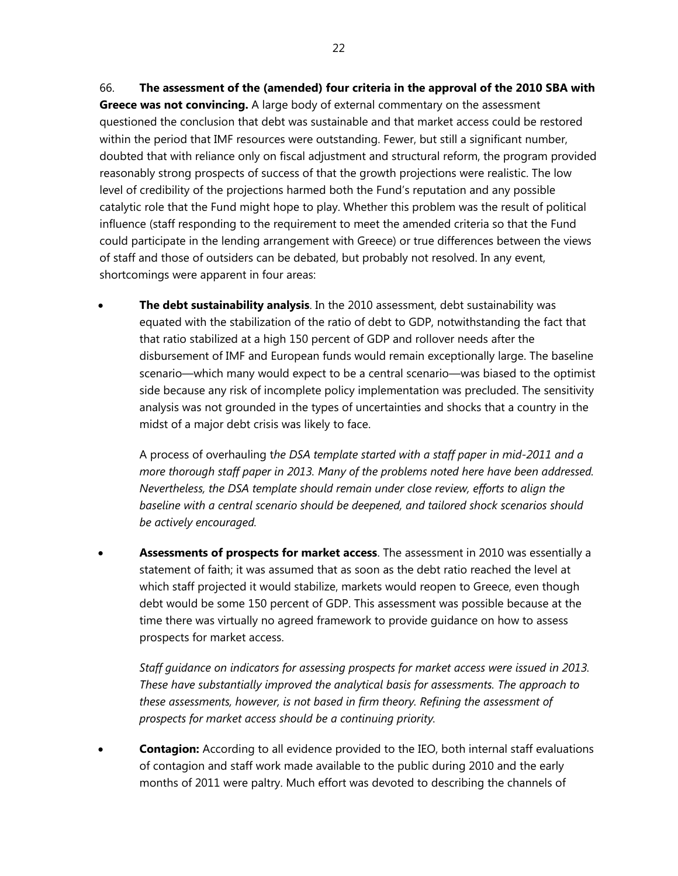within the period that IMF resources were outstanding. Fewer, but still a significant number, doubted that with reliance only on fiscal adjustment and structural reform, the program provided reasonably strong prospects of success of that the growth projections were realistic. The low level of credibility of the projections harmed both the Fund's reputation and any possible catalytic role that the Fund might hope to play. Whether this problem was the result of political influence (staff responding to the requirement to meet the amended criteria so that the Fund could participate in the lending arrangement with Greece) or true differences between the views of staff and those of outsiders can be debated, but probably not resolved. In any event, shortcomings were apparent in four areas:

 **The debt sustainability analysis**. In the 2010 assessment, debt sustainability was equated with the stabilization of the ratio of debt to GDP, notwithstanding the fact that that ratio stabilized at a high 150 percent of GDP and rollover needs after the disbursement of IMF and European funds would remain exceptionally large. The baseline scenario—which many would expect to be a central scenario—was biased to the optimist side because any risk of incomplete policy implementation was precluded. The sensitivity analysis was not grounded in the types of uncertainties and shocks that a country in the midst of a major debt crisis was likely to face.

A process of overhauling t*he DSA template started with a staff paper in mid-2011 and a more thorough staff paper in 2013. Many of the problems noted here have been addressed. Nevertheless, the DSA template should remain under close review, efforts to align the baseline with a central scenario should be deepened, and tailored shock scenarios should be actively encouraged.* 

 **Assessments of prospects for market access**. The assessment in 2010 was essentially a statement of faith; it was assumed that as soon as the debt ratio reached the level at which staff projected it would stabilize, markets would reopen to Greece, even though debt would be some 150 percent of GDP. This assessment was possible because at the time there was virtually no agreed framework to provide guidance on how to assess prospects for market access.

*Staff guidance on indicators for assessing prospects for market access were issued in 2013. These have substantially improved the analytical basis for assessments. The approach to these assessments, however, is not based in firm theory. Refining the assessment of prospects for market access should be a continuing priority.* 

 **Contagion:** According to all evidence provided to the IEO, both internal staff evaluations of contagion and staff work made available to the public during 2010 and the early months of 2011 were paltry. Much effort was devoted to describing the channels of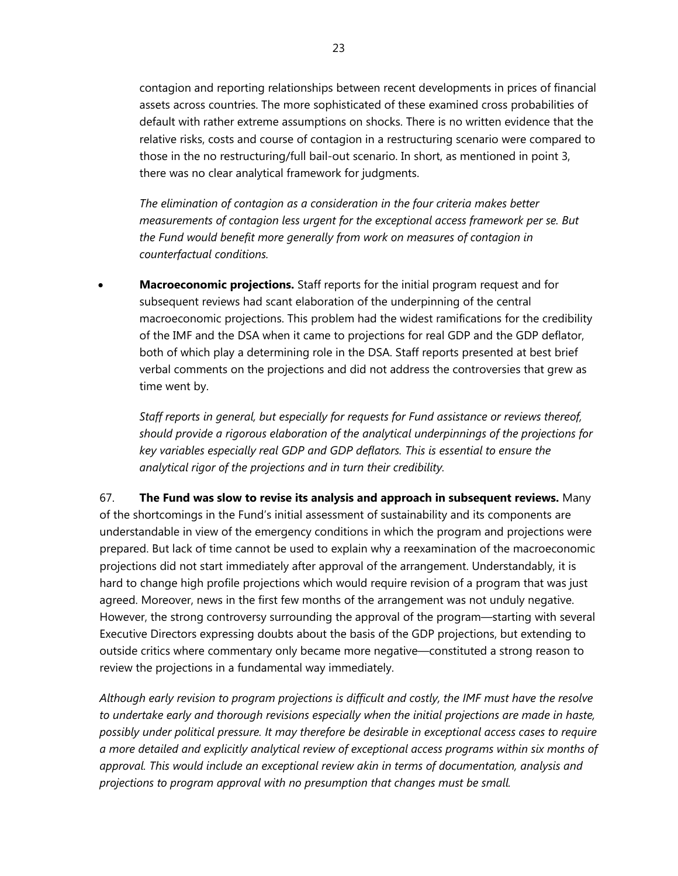contagion and reporting relationships between recent developments in prices of financial assets across countries. The more sophisticated of these examined cross probabilities of default with rather extreme assumptions on shocks. There is no written evidence that the relative risks, costs and course of contagion in a restructuring scenario were compared to those in the no restructuring/full bail-out scenario. In short, as mentioned in point 3, there was no clear analytical framework for judgments.

*The elimination of contagion as a consideration in the four criteria makes better measurements of contagion less urgent for the exceptional access framework per se. But the Fund would benefit more generally from work on measures of contagion in counterfactual conditions.*

 **Macroeconomic projections.** Staff reports for the initial program request and for subsequent reviews had scant elaboration of the underpinning of the central macroeconomic projections. This problem had the widest ramifications for the credibility of the IMF and the DSA when it came to projections for real GDP and the GDP deflator, both of which play a determining role in the DSA. Staff reports presented at best brief verbal comments on the projections and did not address the controversies that grew as time went by.

 *Staff reports in general, but especially for requests for Fund assistance or reviews thereof, should provide a rigorous elaboration of the analytical underpinnings of the projections for key variables especially real GDP and GDP deflators. This is essential to ensure the analytical rigor of the projections and in turn their credibility.* 

67. **The Fund was slow to revise its analysis and approach in subsequent reviews.** Many of the shortcomings in the Fund's initial assessment of sustainability and its components are understandable in view of the emergency conditions in which the program and projections were prepared. But lack of time cannot be used to explain why a reexamination of the macroeconomic projections did not start immediately after approval of the arrangement. Understandably, it is hard to change high profile projections which would require revision of a program that was just agreed. Moreover, news in the first few months of the arrangement was not unduly negative. However, the strong controversy surrounding the approval of the program—starting with several Executive Directors expressing doubts about the basis of the GDP projections, but extending to outside critics where commentary only became more negative—constituted a strong reason to review the projections in a fundamental way immediately.

*Although early revision to program projections is difficult and costly, the IMF must have the resolve to undertake early and thorough revisions especially when the initial projections are made in haste, possibly under political pressure. It may therefore be desirable in exceptional access cases to require a more detailed and explicitly analytical review of exceptional access programs within six months of approval. This would include an exceptional review akin in terms of documentation, analysis and projections to program approval with no presumption that changes must be small.*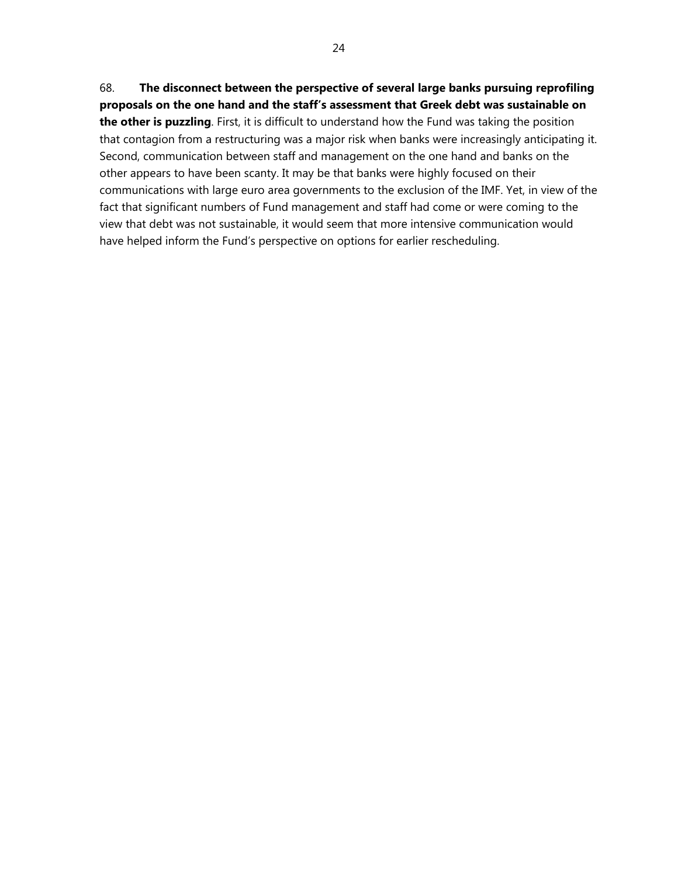## 68. **The disconnect between the perspective of several large banks pursuing reprofiling proposals on the one hand and the staff's assessment that Greek debt was sustainable on the other is puzzling**. First, it is difficult to understand how the Fund was taking the position that contagion from a restructuring was a major risk when banks were increasingly anticipating it. Second, communication between staff and management on the one hand and banks on the other appears to have been scanty. It may be that banks were highly focused on their communications with large euro area governments to the exclusion of the IMF. Yet, in view of the fact that significant numbers of Fund management and staff had come or were coming to the view that debt was not sustainable, it would seem that more intensive communication would have helped inform the Fund's perspective on options for earlier rescheduling.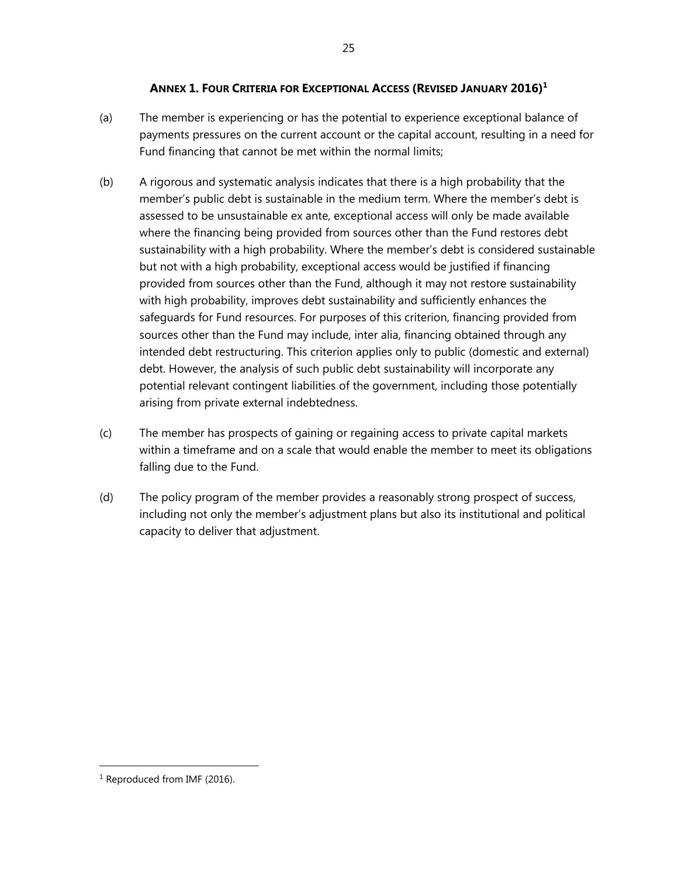#### **ANNEX 1. FOUR CRITERIA FOR EXCEPTIONAL ACCESS (REVISED JANUARY 2016)<sup>1</sup>**

- (a) The member is experiencing or has the potential to experience exceptional balance of payments pressures on the current account or the capital account, resulting in a need for Fund financing that cannot be met within the normal limits;
- (b) A rigorous and systematic analysis indicates that there is a high probability that the member's public debt is sustainable in the medium term. Where the member's debt is assessed to be unsustainable ex ante, exceptional access will only be made available where the financing being provided from sources other than the Fund restores debt sustainability with a high probability. Where the member's debt is considered sustainable but not with a high probability, exceptional access would be justified if financing provided from sources other than the Fund, although it may not restore sustainability with high probability, improves debt sustainability and sufficiently enhances the safeguards for Fund resources. For purposes of this criterion, financing provided from sources other than the Fund may include, inter alia, financing obtained through any intended debt restructuring. This criterion applies only to public (domestic and external) debt. However, the analysis of such public debt sustainability will incorporate any potential relevant contingent liabilities of the government, including those potentially arising from private external indebtedness.
- (c) The member has prospects of gaining or regaining access to private capital markets within a timeframe and on a scale that would enable the member to meet its obligations falling due to the Fund.
- (d) The policy program of the member provides a reasonably strong prospect of success, including not only the member's adjustment plans but also its institutional and political capacity to deliver that adjustment.

<sup>&</sup>lt;sup>1</sup> Reproduced from IMF (2016).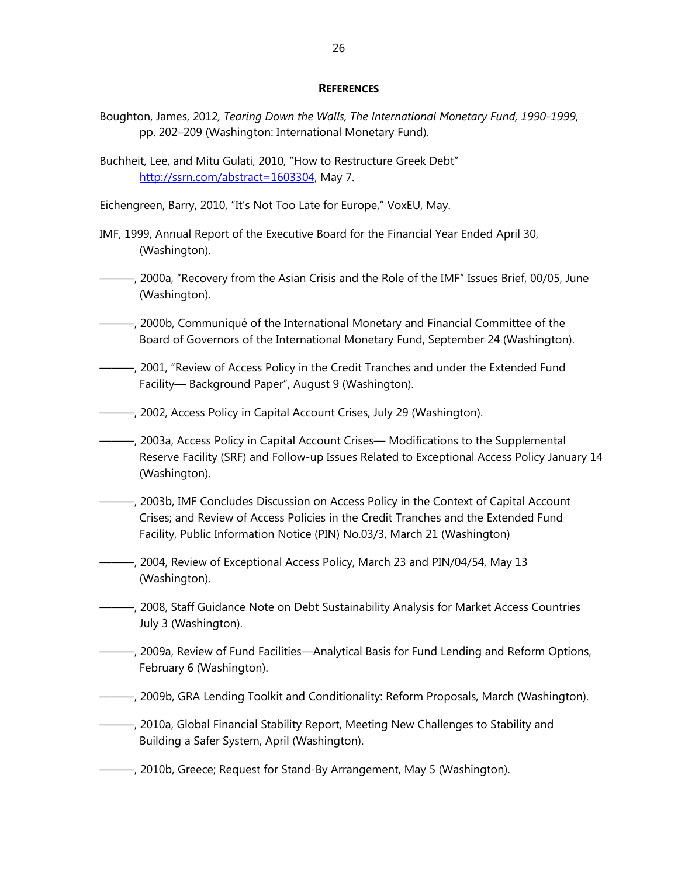#### **REFERENCES**

- Boughton, James, 2012*, Tearing Down the Walls, The International Monetary Fund, 1990-1999*, pp. 202–209 (Washington: International Monetary Fund).
- Buchheit, Lee, and Mitu Gulati, 2010, "How to Restructure Greek Debt" http://ssrn.com/abstract=1603304, May 7.

Eichengreen, Barry, 2010, "It's Not Too Late for Europe," VoxEU, May.

- IMF, 1999, Annual Report of the Executive Board for the Financial Year Ended April 30, (Washington).
- ———, 2000a, "Recovery from the Asian Crisis and the Role of the IMF" Issues Brief, 00/05, June (Washington).
- ———, 2000b, Communiqué of the International Monetary and Financial Committee of the Board of Governors of the International Monetary Fund, September 24 (Washington).
- ———, 2001, "Review of Access Policy in the Credit Tranches and under the Extended Fund Facility— Background Paper", August 9 (Washington).
- ———, 2002, Access Policy in Capital Account Crises, July 29 (Washington).
- ———, 2003a, Access Policy in Capital Account Crises— Modifications to the Supplemental Reserve Facility (SRF) and Follow-up Issues Related to Exceptional Access Policy January 14 (Washington).
- ———, 2003b, IMF Concludes Discussion on Access Policy in the Context of Capital Account Crises; and Review of Access Policies in the Credit Tranches and the Extended Fund Facility, Public Information Notice (PIN) No.03/3, March 21 (Washington)
- ———, 2004, Review of Exceptional Access Policy, March 23 and PIN/04/54, May 13 (Washington).
- ———, 2008, Staff Guidance Note on Debt Sustainability Analysis for Market Access Countries July 3 (Washington).
- ———, 2009a, Review of Fund Facilities—Analytical Basis for Fund Lending and Reform Options, February 6 (Washington).
- ———, 2009b, GRA Lending Toolkit and Conditionality: Reform Proposals, March (Washington).
- ———, 2010a, Global Financial Stability Report, Meeting New Challenges to Stability and Building a Safer System, April (Washington).
- ———, 2010b, Greece; Request for Stand-By Arrangement, May 5 (Washington).